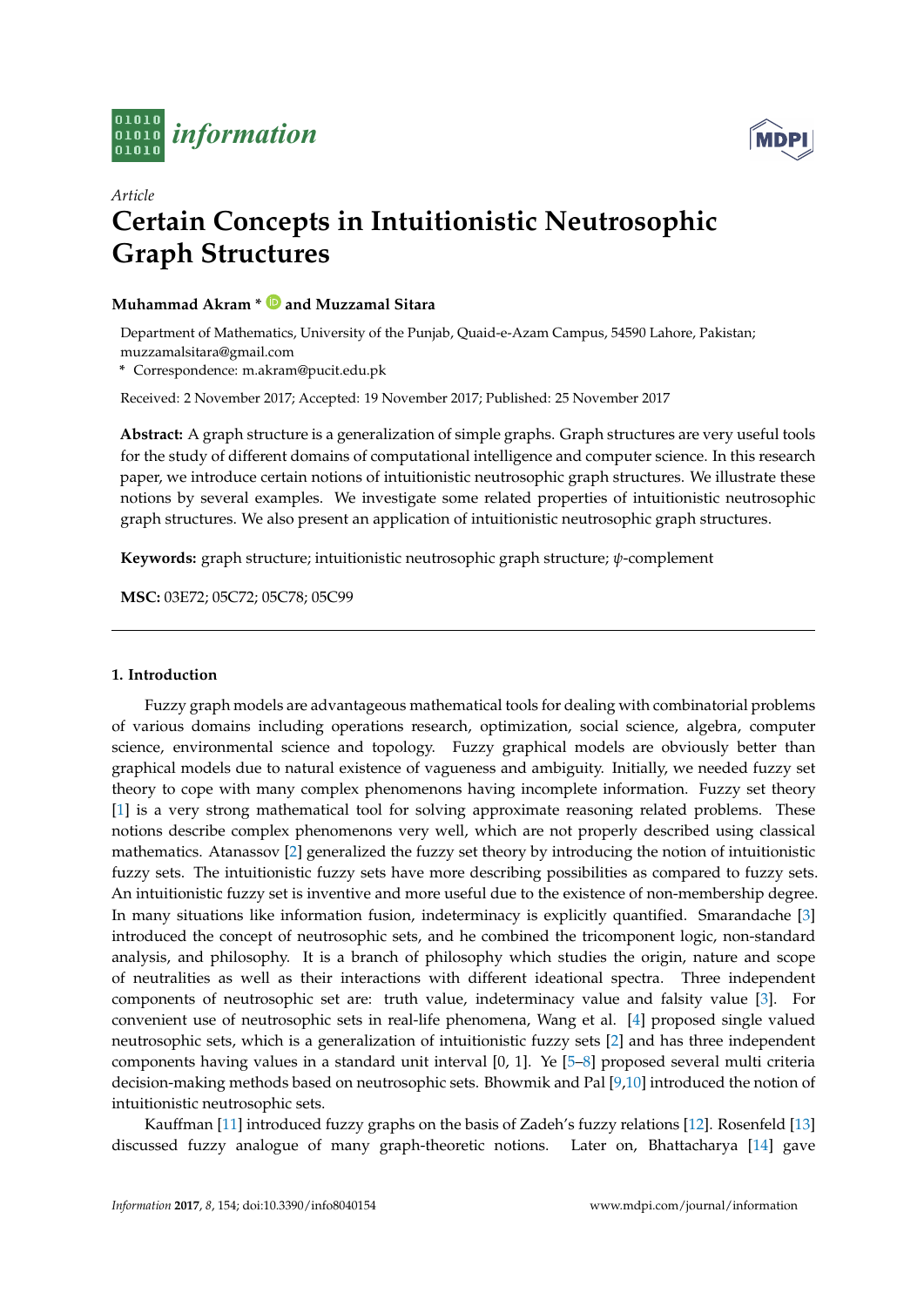



# *Article* **[Certain Concepts in Intuit](http://www.mdpi.com/journal/information)ionistic Neutrosophic Graph Structures**

## **Muhammad Akram \* and Muzzamal Sitara**

Department of Mathe[matics, University of the Pu](https://orcid.org/0000-0001-7217-7962)njab, Quaid-e-Azam Campus, 54590 Lahore, Pakistan; muzzamalsitara@gmail.com

**\*** Correspondence: m.akram@pucit.edu.pk

Received: 2 November 2017; Accepted: 19 November 2017; Published: 25 November 2017

**Abstract:** A graph structure is a generalization of simple graphs. Graph structures are very useful tools for the study of different domains of computational intelligence and computer science. In this research paper, we introduce certain notions of intuitionistic neutrosophic graph structures. We illustrate these notions by several examples. We investigate some related properties of intuitionistic neutrosophic graph structures. We also present an application of intuitionistic neutrosophic graph structures.

**Keywords:** graph structure; intuitionistic neutrosophic graph structure; *ψ*-complement

**MSC:** 03E72; 05C72; 05C78; 05C99

### **1. Introduction**

Fuzzy graph models are advantageous mathematical tools for dealing with combinatorial problems of various domains including operations research, optimization, social science, algebra, computer science, environmental science and topology. Fuzzy graphical models are obviously better than graphical models due to natural existence of vagueness and ambiguity. Initially, we needed fuzzy set theory to cope with many complex phenomenons having incomplete information. Fuzzy set theory [1] is a very strong mathematical tool for solving approximate reasoning related problems. These notions describe complex phenomenons very well, which are not properly described using classical mathematics. Atanassov [2] generalized the fuzzy set theory by introducing the notion of intuitionistic fuzzy sets. The intuitionistic fuzzy sets have more describing possibilities as compared to fuzzy sets. [An](#page-17-0) intuitionistic fuzzy set is inventive and more useful due to the existence of non-membership degree. In many situations like information fusion, indeterminacy is explicitly quantified. Smarandache [3] introduced the concept o[f n](#page-17-1)eutrosophic sets, and he combined the tricomponent logic, non-standard analysis, and philosophy. It is a branch of philosophy which studies the origin, nature and scope of neutralities as well as their interactions with different ideational spectra. Three independent components of neutrosophic set are: truth value, indeterminacy value and falsity value [3]. F[or](#page-17-2) convenient use of neutrosophic sets in real-life phenomena, Wang et al. [4] proposed single valued neutrosophic sets, which is a generalization of intuitionistic fuzzy sets [2] and has three independent components having values in a standard unit interval [0, 1]. Ye [5–8] proposed several multi criteria decision-making methods based on neutrosophic sets. Bhowmik and Pal [9,10] introduced the [no](#page-17-2)tion of intuitionistic neutrosophic sets.

Kauffman [11] introduced fuzzy graphs on the basis of Zadeh's fuzz[y](#page-17-1) relations [12]. Rosenfeld [13] discussed fuzzy analogue of many graph-theoretic notions. [L](#page-17-3)[at](#page-17-4)er [o](#page-17-5)[n,](#page-17-6) Bhattacharya [14] gave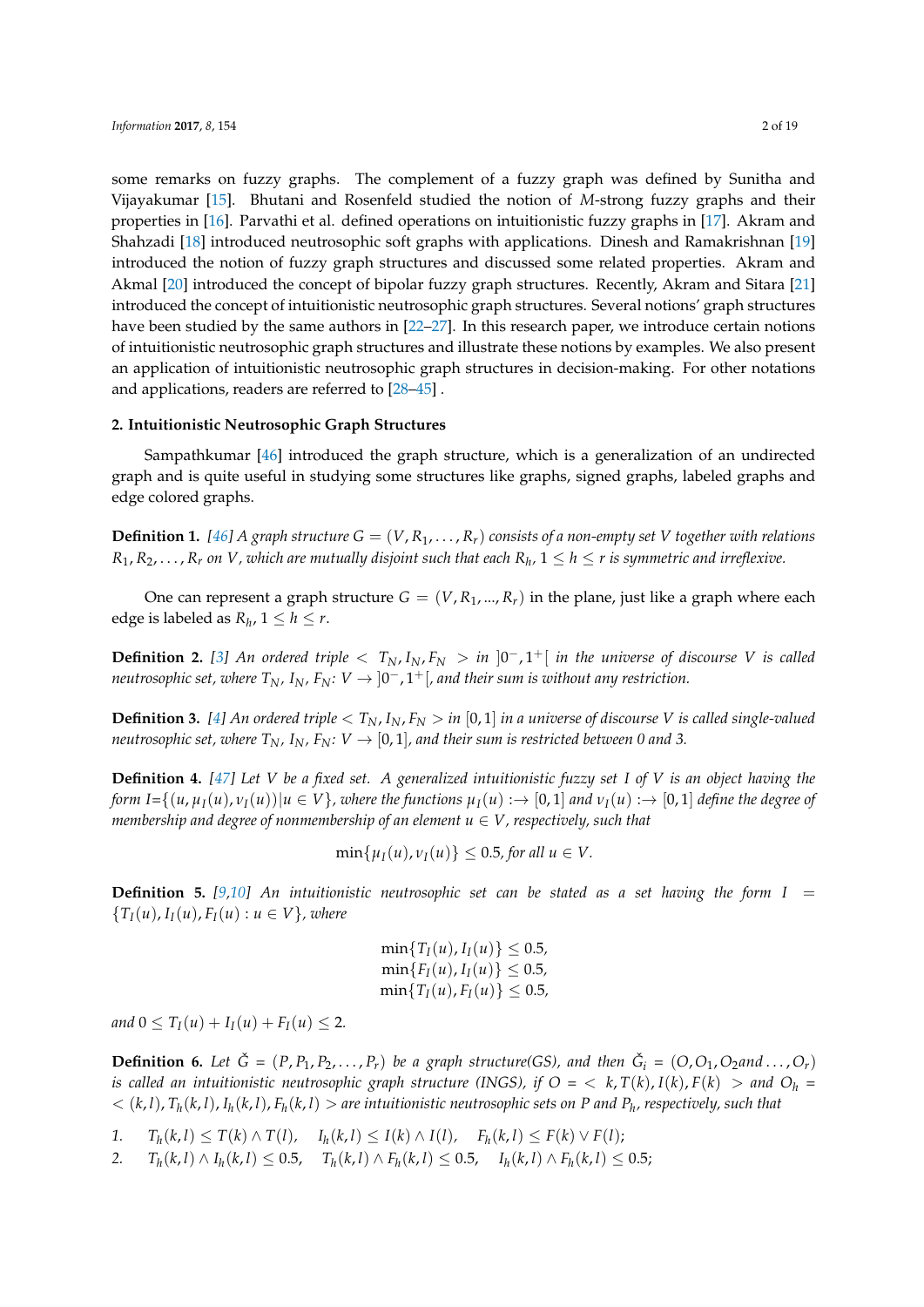some remarks on fuzzy graphs. The complement of a fuzzy graph was defined by Sunitha and Vijayakumar [15]. Bhutani and Rosenfeld studied the notion of *M*-strong fuzzy graphs and their properties in [16]. Parvathi et al. defined operations on intuitionistic fuzzy graphs in [17]. Akram and Shahzadi [18] introduced neutrosophic soft graphs with applications. Dinesh and Ramakrishnan [19] introduced the notion of fuzzy graph structures and discussed some related properties. Akram and Akmal [20] in[trod](#page-17-10)uced the concept of bipolar fuzzy graph structures. Recently, Akram and Sitara [21] introduced th[e co](#page-17-11)ncept of intuitionistic neutrosophic graph structures. Several notions' [gra](#page-17-12)ph structures have been [stu](#page-17-13)died by the same authors in [22–27]. In this research paper, we introduce certain noti[ons](#page-17-14) of intuitionistic neutrosophic graph structures and illustrate these notions by examples. We also present an appl[ica](#page-17-15)tion of intuitionistic neutrosophic graph structures in decision-making. For other notati[ons](#page-17-16) and applications, readers are referred to [28–45] .

### **2. Intuitionistic Neutrosophic Graph Structures**

Sampathkumar [46] introduced the [gr](#page-18-0)[aph](#page-18-1) structure, which is a generalization of an undirected graph and is quite useful in studying some structures like graphs, signed graphs, labeled graphs and edge colored graphs.

**Definition 1.** [46] A g[rap](#page-18-2)h structure  $G = (V, R_1, \ldots, R_r)$  consists of a non-empty set V together with relations  $R_1, R_2, \ldots, R_r$  on  $V$ , which are mutually disjoint such that each  $R_h$ ,  $1 \leq h \leq r$  is symmetric and irreflexive.

One can represent a graph structure  $G = (V, R_1, ..., R_r)$  in the plane, just like a graph where each edge is labele[d as](#page-18-2)  $R_h$ ,  $1 \leq h \leq r$ .

**Definition 2.** [3] An ordered triple  $\langle T_N, I_N, F_N \rangle$  in  $]0^-, 1^+$  *in the universe of discourse V is called neutrosophic set, where*  $T_N$ *,*  $I_N$ *,*  $F_N\colon V\to\ket{0^-}$ *,*  $1^+[\,$ , and their sum is without any restriction.

**Definition 3.** [4] An ordered triple  $\langle T_N, I_N, F_N \rangle$  in [0, 1] in a universe of discourse V is called single-valued *neutrosophic set[, w](#page-17-2)here*  $T_N$ *,*  $I_N$ *,*  $F_N$ *:*  $V \rightarrow [0, 1]$ *, and their sum is restricted between* 0 and 3.

**Definition 4.** *[47] Let V be a fixed set. A generalized intuitionistic fuzzy set I of V is an object having the* form  $I = \{(u, \mu_I(u), \nu_I(u)) | u \in V\}$  $I = \{(u, \mu_I(u), \nu_I(u)) | u \in V\}$  $I = \{(u, \mu_I(u), \nu_I(u)) | u \in V\}$ , where the functions  $\mu_I(u) \rightarrow [0, 1]$  and  $\nu_I(u) \rightarrow [0, 1]$  define the degree of *membership and degree of nonmembership of an element u ∈ V, respectively, such that*

$$
\min\{\mu_I(u),\nu_I(u)\}\leq 0.5, \text{ for all } u\in V.
$$

**Definition 5.** [9,10] An intuitionistic neutrosophic set can be stated as a set having the form  $I =$  ${T_I(u), I_I(u), F_I(u) : u \in V}$ , *where* 

$$
\min\{T_I(u), I_I(u)\} \le 0.5,\\ \min\{F_I(u), I_I(u)\} \le 0.5,\\ \min\{T_I(u), F_I(u)\} \le 0.5,
$$

*and*  $0 \leq T_I(u) + I_I(u) + F_I(u) \leq 2$ .

**Definition 6.** Let  $\check{G} = (P, P_1, P_2, \ldots, P_r)$  be a graph structure(GS), and then  $\check{G}_i = (O, O_1, O_2$ and...,  $O_r$ ) *is called an intuitionistic neutrosophic graph structure (INGS), if*  $O = \langle k, T(k), I(k), F(k) \rangle$  *and*  $O_h =$  $<(k,l)$ ,  $T_h(k,l)$ ,  $I_h(k,l)$ ,  $F_h(k,l) >$  are intuitionistic neutrosophic sets on P and  $P_h$ , respectively, such that

- 1.  $T_h(k, l) \leq T(k) \wedge T(l)$ ,  $I_h(k, l) \leq I(k) \wedge I(l)$ ,  $F_h(k, l) \leq F(k) \vee F(l)$ ;
- 2.  $T_h(k, l) \wedge I_h(k, l) \le 0.5$ ,  $T_h(k, l) \wedge F_h(k, l) \le 0.5$ ,  $I_h(k, l) \wedge F_h(k, l) \le 0.5$ ;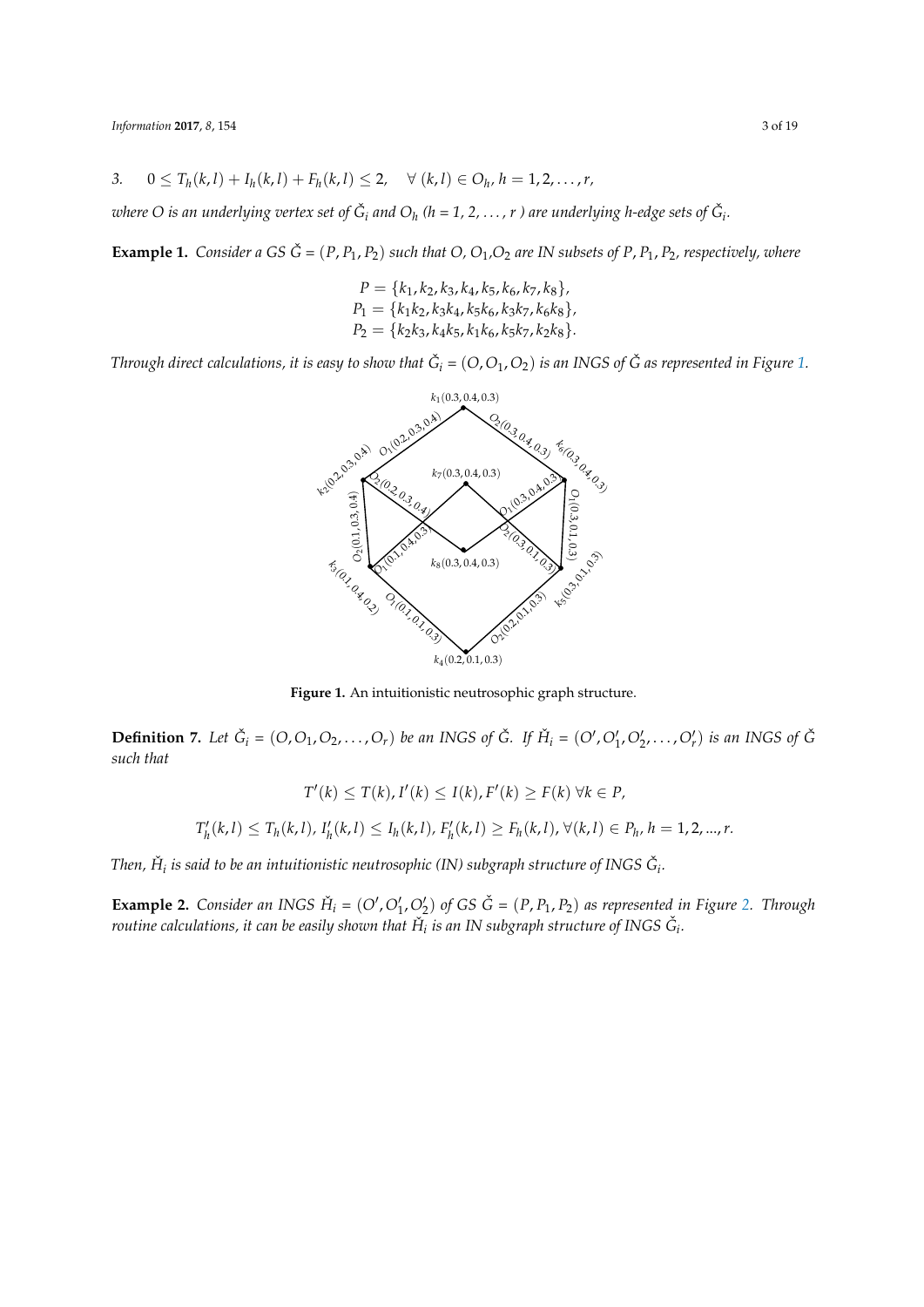3. 
$$
0 \le T_h(k, l) + I_h(k, l) + F_h(k, l) \le 2
$$
,  $\forall$   $(k, l) \in O_h$ ,  $h = 1, 2, ..., r$ ,

where O is an underlying vertex set of  $\check G_i$  and  $O_h$  (h = 1, 2,  $\dots$  , r ) are underlying h-edge sets of  $\check G_i.$ 

**Example 1.** *Consider a GS*  $\check{G} = (P, P_1, P_2)$  *such that O, O*<sub>1</sub>, *O*<sub>2</sub> *are IN subsets of P, P*<sub>1</sub>, *P*<sub>2</sub>*, respectively, where* 

$$
P = \{k_1, k_2, k_3, k_4, k_5, k_6, k_7, k_8\},
$$
  
\n
$$
P_1 = \{k_1k_2, k_3k_4, k_5k_6, k_3k_7, k_6k_8\},
$$
  
\n
$$
P_2 = \{k_2k_3, k_4k_5, k_1k_6, k_5k_7, k_2k_8\}.
$$

*Through direct calculations, it is easy to show that*  $\check{G}_i$  *=*  $(O, O_1, O_2)$  *is an INGS of*  $\check{G}$  *as represented in Figure 1.* 



**Figure 1.** An intuitionistic neutrosophic graph structure.

**Definition 7.** Let  $\check{G}_i = (O, O_1, O_2, \ldots, O_r)$  be an INGS of  $\check{G}$ . If  $\check{H}_i = (O', O'_1, O'_2, \ldots, O'_r)$  is an INGS of  $\check{G}$ *such that*

$$
T'(k) \leq T(k), I'(k) \leq I(k), F'(k) \geq F(k) \,\forall k \in P,
$$

$$
T'_{h}(k,l) \leq T_{h}(k,l), I'_{h}(k,l) \leq I_{h}(k,l), F'_{h}(k,l) \geq F_{h}(k,l), \forall (k,l) \in P_{h}, h = 1, 2, ..., r.
$$

Then,  $\check{H}_i$  is said to be an intuitionistic neutrosophic (IN) subgraph structure of INGS  $\check{G}_i$ .

**Example 2.** Consider an INGS  $\check{H}_i = (O', O'_1, O'_2)$  of GS  $\check{G} = (P, P_1, P_2)$  as represented in Figure 2. Through routine calculations, it can be easily shown that  $\check{H}_i$  is an IN subgraph structure of INGS  $\check{G}_i$ .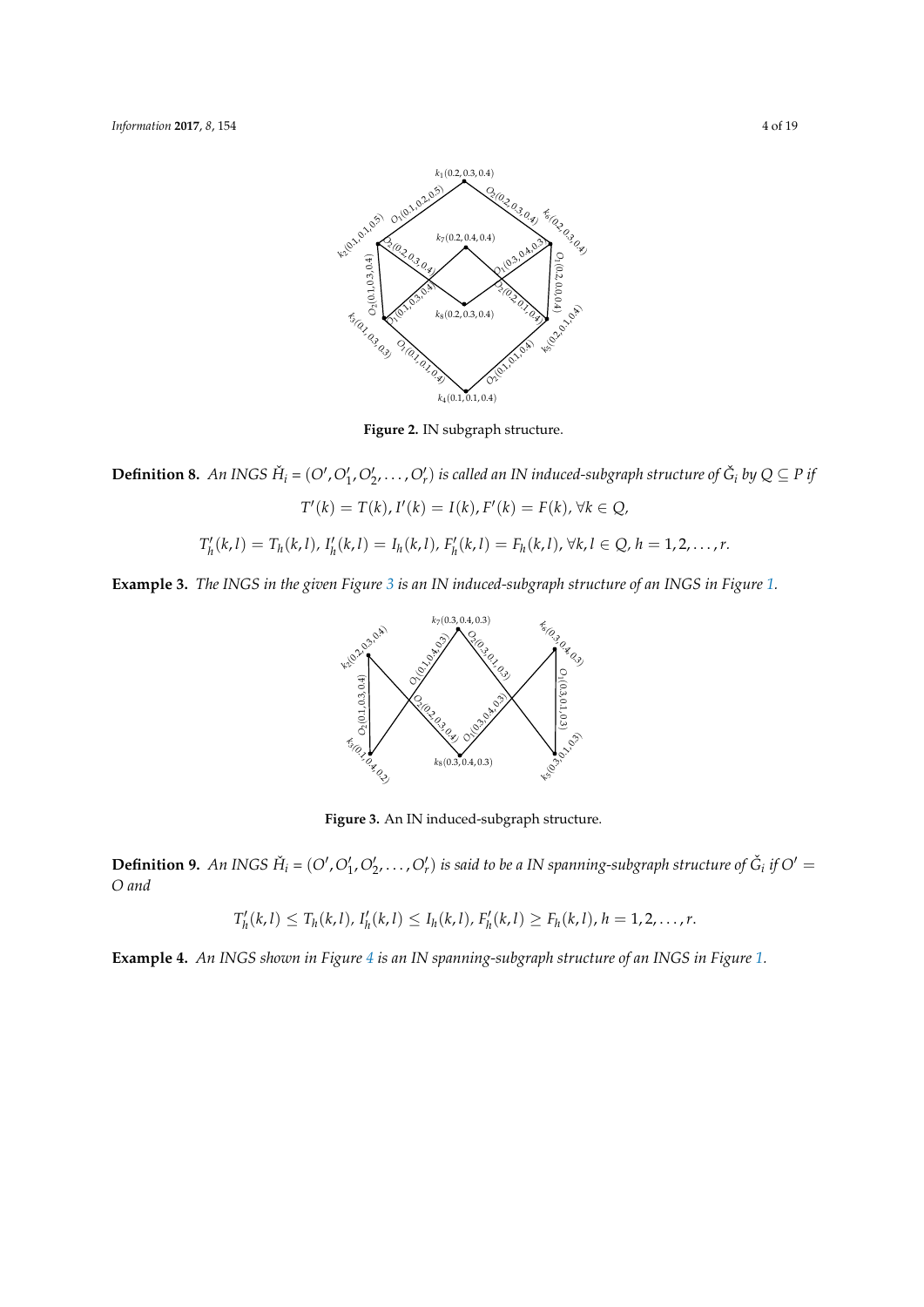

**Figure 2.** IN subgraph structure.

**Definition 8.** An INGS  $H_i = (O', O'_1, O'_2, \ldots, O'_r)$  is called an IN induced-subgraph structure of  $\check{G}_i$  by  $Q \subseteq P$  if

 $T'(k) = T(k)$ ,  $I'(k) = I(k)$ ,  $F'(k) = F(k)$ ,  $\forall k \in Q$ ,

$$
T'_{h}(k,l)=T_{h}(k,l), I'_{h}(k,l)=I_{h}(k,l), F'_{h}(k,l)=F_{h}(k,l), \forall k,l \in Q, h=1,2,\ldots,r.
$$

**Example 3.** *The INGS in the given Figure 3 is an IN induced-subgraph structure of an INGS in Figure 1.*



**Figure 3.** An IN induced-subgraph structure.

**Definition 9.** An INGS  $H_i = (O', O'_1, O'_2, ..., O'_r)$  is said to be a IN spanning-subgraph structure of  $\check{G}_i$  if  $O' =$ *O and*

$$
T'_{h}(k,l) \leq T_{h}(k,l), I'_{h}(k,l) \leq I_{h}(k,l), F'_{h}(k,l) \geq F_{h}(k,l), h = 1, 2, ..., r.
$$

**Example 4.** *An INGS shown in Figure 4 is an IN spanning-subgraph structure of an INGS in Figure 1.*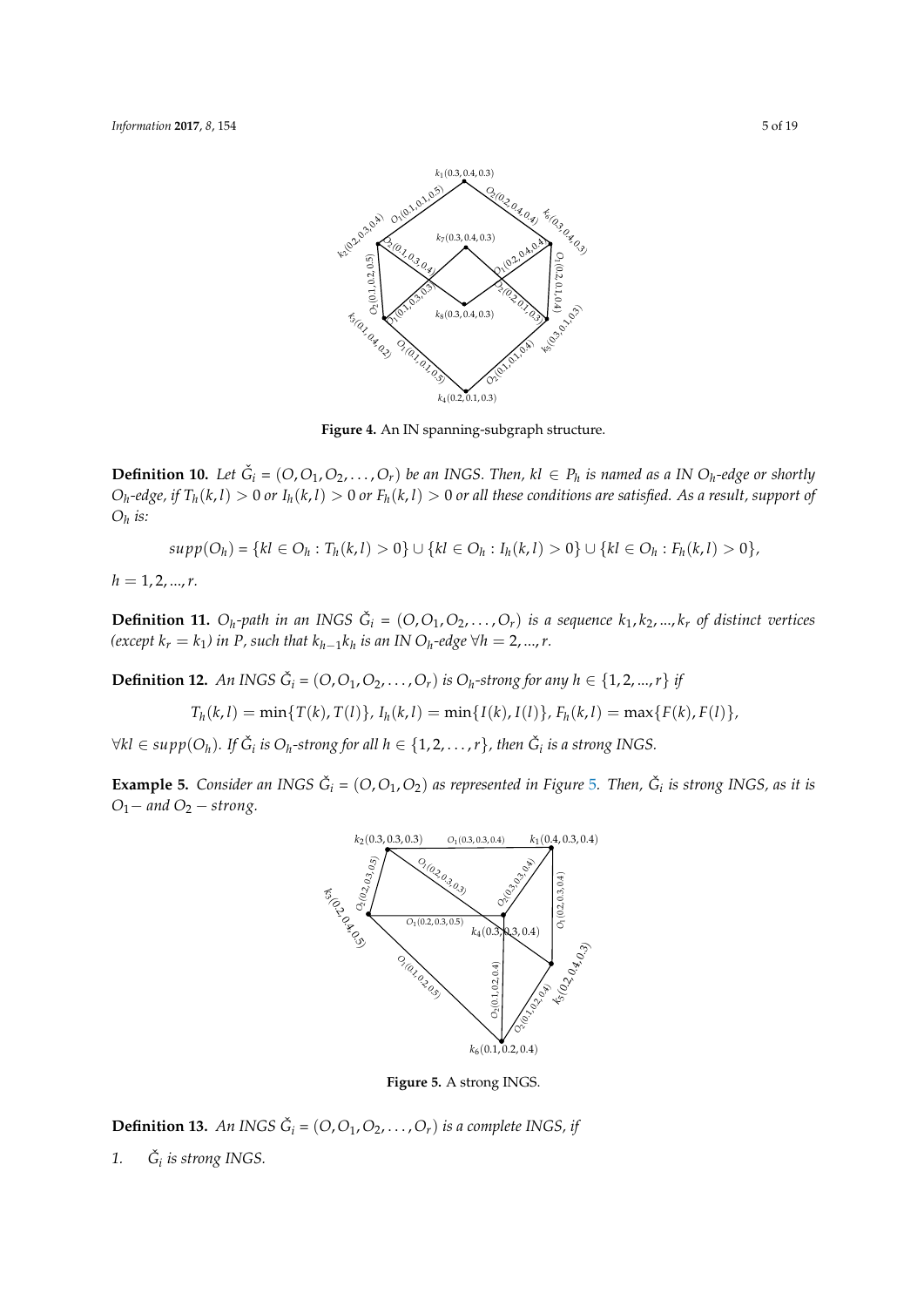

**Figure 4.** An IN spanning-subgraph structure.

**Definition 10.** Let  $\check{G}_i = (O,O_1,O_2,\ldots,O_r)$  be an INGS. Then, kl  $\in P_h$  is named as a IN  $O_h$ -edge or shortly  $O_h$ -edge, if  $T_h(k,l) > 0$  or  $I_h(k,l) > 0$  or  $F_h(k,l) > 0$  or all these conditions are satisfied. As a result, support of *O<sup>h</sup> is:*

$$
supp(O_h) = \{kl \in O_h : T_h(k, l) > 0\} \cup \{kl \in O_h : I_h(k, l) > 0\} \cup \{kl \in O_h : F_h(k, l) > 0\},\
$$

 $h = 1, 2, ..., r$ .

**Definition 11.**  $O_h$ -path in an INGS  $\check{G}_i = (O, O_1, O_2, \ldots, O_r)$  is a sequence  $k_1, k_2, ..., k_r$  of distinct vertices  $\mathcal{L}(e \times e e e f k_r = k_1)$  in P, such that  $k_{h-1} k_h$  is an IN  $O_h$ -edge ∀h = 2, ..., r.

**Definition 12.** An INGS  $\check{G}_i = (O, O_1, O_2, \ldots, O_r)$  is  $O_h$ -strong for any  $h \in \{1, 2, ..., r\}$  if

$$
T_h(k,l) = \min\{T(k), T(l)\}, I_h(k,l) = \min\{I(k), I(l)\}, F_h(k,l) = \max\{F(k), F(l)\},
$$

 $\forall$ kl  $\in$  supp $(O_h)$ . If  $\check{G}_i$  is  $O_h$ -strong for all  $h \in \{1, 2, ..., r\}$ , then  $\check{G}_i$  is a strong INGS.

**Example 5.** Consider an INGS  $\check{G}_i = (O, O_1, O_2)$  as represented in Figure 5. Then,  $\check{G}_i$  is strong INGS, as it is *O*1*− and O*<sup>2</sup> *− strong.*



**Figure 5.** A strong INGS.

**Definition 13.** An INGS  $\check{G}_i = (O, O_1, O_2, \ldots, O_r)$  is a complete INGS, if

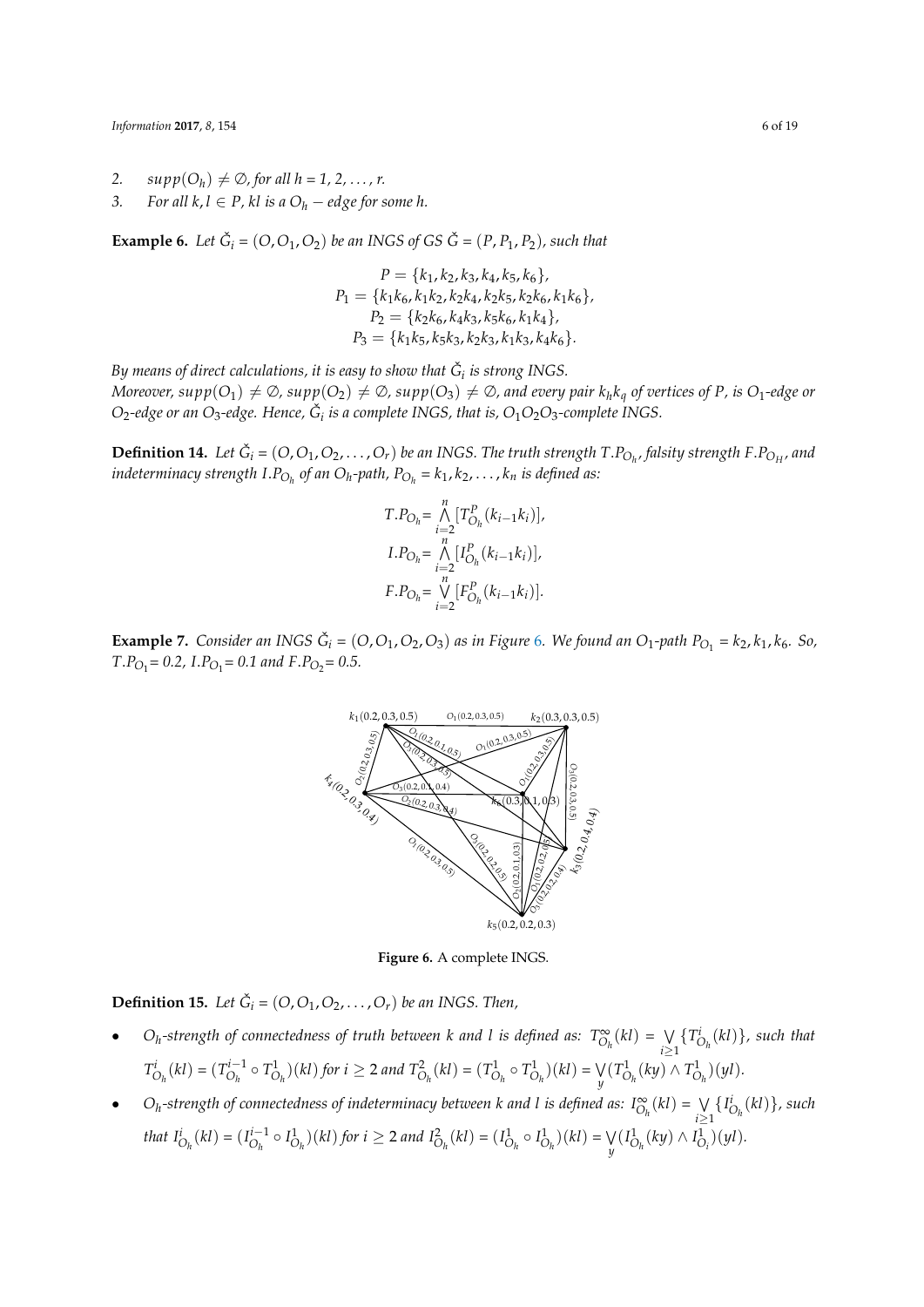- 2.  $supp(O_h) \neq \emptyset$ , for all  $h = 1, 2, ..., r$ .
- *3. For all*  $k, l \in P$ ,  $kl$  *is a*  $O_h -$  *edge for some h.*

**Example 6.** Let  $\check{G}_i = (O, O_1, O_2)$  be an INGS of GS  $\check{G} = (P, P_1, P_2)$ , such that

$$
P = \{k_1, k_2, k_3, k_4, k_5, k_6\},
$$
  
\n
$$
P_1 = \{k_1k_6, k_1k_2, k_2k_4, k_2k_5, k_2k_6, k_1k_6\},
$$
  
\n
$$
P_2 = \{k_2k_6, k_4k_3, k_5k_6, k_1k_4\},
$$
  
\n
$$
P_3 = \{k_1k_5, k_5k_3, k_2k_3, k_1k_3, k_4k_6\}.
$$

 $B$ y means of direct calculations, it is easy to show that  $\check G_i$  is strong INGS.

*Moreover, supp*( $O_1$ )  $\neq \emptyset$ , supp( $O_2$ )  $\neq \emptyset$ , supp( $O_3$ )  $\neq \emptyset$ , and every pair  $k_h k_q$  of vertices of P, is  $O_1$ -edge or *O*2*-edge or an O*3*-edge. Hence, G*ˇ *i is a complete INGS, that is, O*1*O*2*O*3*-complete INGS.*

**Definition 14.** Let  $\check{G}_i$  =  $(O,O_1,O_2,\ldots,O_r)$  be an INGS. The truth strength T.P<sub>Oh</sub>, falsity strength F.P<sub>OH</sub>, and *indeterminacy strength*  $\text{I.P}_{\text{O}_h}$  *of an*  $\text{O}_h$ *-path,*  $\text{P}_{\text{O}_h} = k_1, k_2, \ldots, k_n$  *is defined as:* 

$$
T.P_{O_h} = \bigwedge_{i=2}^{n} [T_{O_h}^P(k_{i-1}k_i)],
$$
  
\n
$$
I.P_{O_h} = \bigwedge_{i=2}^{n} [I_{O_h}^P(k_{i-1}k_i)],
$$
  
\n
$$
F.P_{O_h} = \bigvee_{i=2}^{n} [F_{O_h}^P(k_{i-1}k_i)].
$$

<span id="page-5-0"></span>**Example 7.** *Consider an INGS*  $\check{G}_i = (O, O_1, O_2, O_3)$  *as in Figure* 6*. We found an*  $O_1$ -path  $P_{O_1} = k_2, k_1, k_6$ *. So, T*.*PO*<sup>1</sup> *= 0.2, I*.*PO*<sup>1</sup> *= 0.1 and F*.*PO*<sup>2</sup> *= 0.5.*



**Figure 6.** A complete INGS.

**Definition 15.** Let  $\check{G}_i = (O, O_1, O_2, \ldots, O_r)$  be an INGS. Then,

- *O<sub>h</sub>*-strength of connectedness of truth between k and l is defined as:  $T^{\infty}_{O_h}(kl) = \bigvee_{i \geq k} T^{\infty}_{O_h}(kl)$ *i≥*1 *{T i O<sup>h</sup>* (*kl*)*}, such that*  $T_{O_h}^i(kl) = (T_{O_h}^{i-1})$  $T_{O_h}^{i-1} \circ T_{O_h}^1$  (kl) for  $i \ge 2$  and  $T_{O_h}^2$  (kl) =  $(T_{O_h}^1 \circ T_{O_h}^1)(kl) = \bigvee_h$  $\bigvee_{y} (T^1_{O_h}(ky) \wedge T^1_{O_h})(yl).$
- **•** *O<sub>h</sub>*-strength of connectedness of indeterminacy between k and l is defined as:  $I_{O_h}^{\infty}(kl) = \bigvee_{i \geq k} I_{O_i}^{\infty}(l)$ *i≥*1  $\{I^i_{O_h}(kl)\}$ *, such that*  $I_{O_h}^i(kl) = (I_{O_h}^{i-1})$  $I_{O_h}^{i-1} \circ I_{O_h}^1$  (kl) for  $i \ge 2$  and  $I_{O_h}^2 (kl) = (I_{O_h}^1 \circ I_{O_h}^1)(kl) = \bigvee_h$  $\bigvee_{y} (I^1_{O_h}(ky) \wedge I^1_{O_i})(yl).$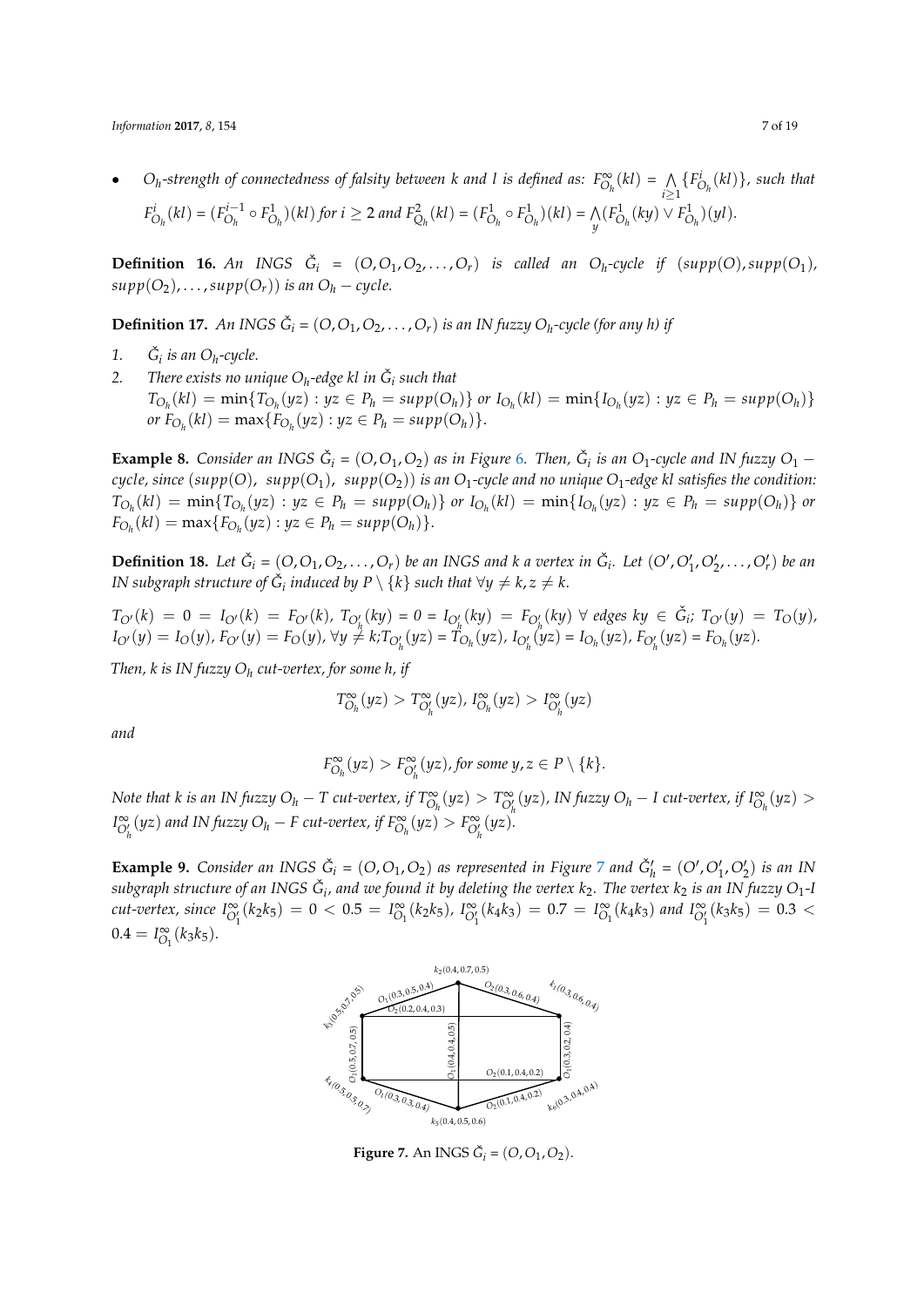• O<sub>h</sub>-strength of connectedness of falsity between k and l is defined as:  $F^{\infty}_{O_h}(kl) = N$ *i≥*1  ${F_{O_h}^i(kl)}$ *, such that*  $F_{O_h}^i(kl) = (F_{O_h}^{i-1})$  $F_{O_h}^{i-1} \circ F_{O_h}^1$  (kl) for  $i \ge 2$  and  $F_{Q_h}^2(kl) = (F_{O_h}^1 \circ F_{O_h}^1)(kl) = \bigwedge_{i=1}^n k_i$  $\mathcal{N}_y(F^1_{O_h}(ky) \vee F^1_{O_h})(yl).$ 

**Definition 16.** An INGS  $\check{G}_i = (O, O_1, O_2, \ldots, O_r)$  is called an  $O_h$ -cycle if  $(supp(O), supp(O_1),$  $supp(O_2), \ldots, supp(O_r))$  *is an*  $O_h$  *− cycle.* 

**Definition 17.** An INGS  $\check{G}_i = (O, O_1, O_2, \ldots, O_r)$  is an IN fuzzy  $O_h$ -cycle (for any h) if

- 1.  $\check{G}_i$  *is an O<sub>h</sub>*-cycle.
- 2. *There exists no unique*  $O_h$ *-edge kl in*  $\check{G}_i$  *such that*  $T_{O_h}(kl) = \min\{T_{O_h}(yz) : yz \in P_h = supp(O_h)\}$  or  $I_{O_h}(kl) = \min\{I_{O_h}(yz) : yz \in P_h = supp(O_h)\}$  $or F_{O_h}(kl) = \max\{F_{O_h}(yz) : yz \in P_h = supp(O_h)\}.$

**Example 8.** Consider an INGS  $\check{G}_i = (O, O_1, O_2)$  as in Figure 6. Then,  $\check{G}_i$  is an  $O_1$ -cycle and IN fuzzy  $O_1$  – *cycle, since* ( $supp(O)$ ,  $supp(O_1)$ ,  $supp(O_2)$ ) *is an O*<sub>1</sub>-cycle and no unique O<sub>1</sub>-edge kl satisfies the condition:  $T_{O_h}(kl) = \min\{T_{O_h}(yz) : yz \in P_h = supp(O_h)\}\$ or  $I_{O_h}(kl) = \min\{I_{O_h}(yz) : yz \in P_h = supp(O_h)\}\$ or  $F_{O_h}(kl) = \max\{F_{O_h}(yz) : yz \in P_h = \text{supp}(O_h)\}.$ 

**Definition 18.** Let  $\check{G}_i = (O,O_1,O_2,\ldots,O_r)$  be an INGS and k a vertex in  $\check{G}_i$ . Let  $(O', O'_1,O'_2,\ldots,O'_r)$  be an *IN subgraph structure of*  $\check{G}_i$  *induced by*  $P \setminus \{k\}$  *such that*  $\forall y \neq k, z \neq k.$ 

$$
T_{O'}(k) = 0 = I_{O'}(k) = F_{O'}(k), T_{O'_{h}}(ky) = 0 = I_{O'_{h}}(ky) = F_{O'_{h}}(ky) \ \forall \ edges \ ky \in \tilde{G}_i; T_{O'}(y) = T_O(y),
$$
  
\n
$$
I_{O'}(y) = I_O(y), F_{O'}(y) = F_O(y), \ \forall y \neq k; T_{O'_{h}}(yz) = T_{O_{h}}(yz), I_{O'_{h}}(yz) = I_{O_{h}}(yz), F_{O'_{h}}(yz) = F_{O_{h}}(yz).
$$

*Then, k is IN fuzzy O<sup>h</sup> cut-vertex, for some h, if*

$$
T^{\infty}_{O_h}(yz) > T^{\infty}_{O'_h}(yz), T^{\infty}_{O_h}(yz) > T^{\infty}_{O'_h}(yz)
$$

*and*

$$
F^{\infty}_{O_h}(yz) > F^{\infty}_{O'_h}(yz), \text{ for some } y, z \in P \setminus \{k\}.
$$

Note that k is an IN fuzzy  $O_h-T$  cut-vertex, if  $T_{O_h}^{\infty}(yz)>T_{O_h'}^{\infty}(yz)$ , IN fuzzy  $O_h-I$  cut-vertex, if  $I_{O_h}^{\infty}(yz)>0$  $I_{O_h'}^{\infty}(yz)$  and IN fuzzy  $O_h - F$  cut-vertex, if  $F_{O_h}^{\infty}(yz) > F_{O_h'}^{\infty}(yz)$ .

**Example 9.** Consider an INGS  $\check{G}_i = (O, O_1, O_2)$  as represented in Figure 7 and  $\check{G}'_h = (O', O'_1, O'_2)$  is an IN  $s$ ubgraph structure of an INGS  $\check G_i$ , and we found it by deleting the vertex  $k_2.$  The vertex  $k_2$  is an IN fuzzy  $O_1$ -I cut-vertex, since  $I^{\infty}_{O'_1}(k_2k_5) = 0 < 0.5 = I^{\infty}_{O_1}(k_2k_5)$ ,  $I^{\infty}_{O'_1}(k_4k_3) = 0.7 = I^{\infty}_{O_1}(k_4k_3)$  and  $I^{\infty}_{O'_1}(k_3k_5) = 0.3 <$  $0.4 = I_{O_1}^{\infty}(k_3k_5)$ .



**Figure 7.** An INGS  $\check{G}_i = (O, O_1, O_2)$ .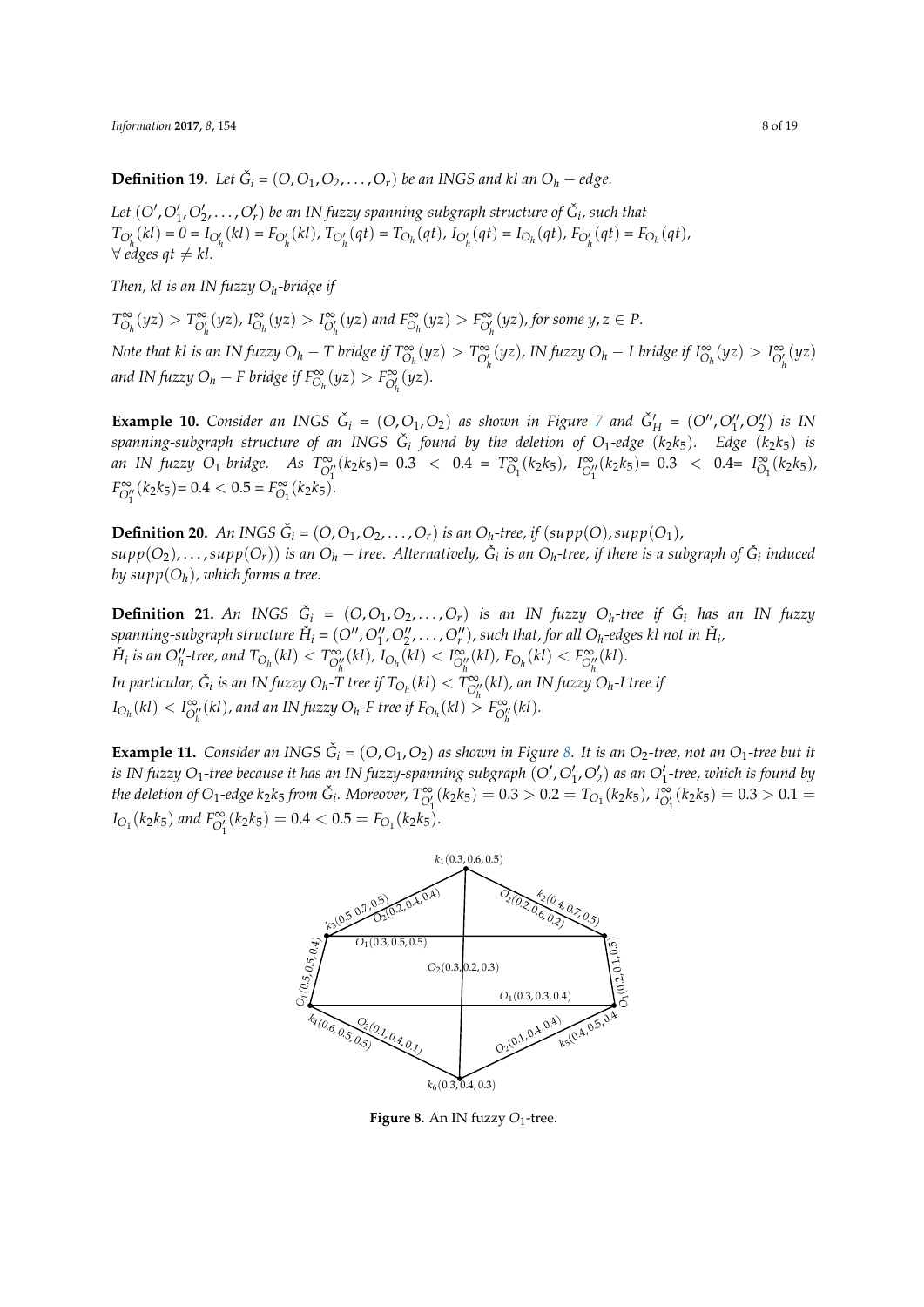**Definition 19.** Let  $\check{G}_i = (O, O_1, O_2, \ldots, O_r)$  be an INGS and kl an  $O_h -$  edge.

Let  $(O', O'_1, O'_2, \ldots, O'_r)$  be an IN fuzzy spanning-subgraph structure of  $\check G_i$ , such that  $T_{O'_h}(kl) = 0 = I_{O'_h}(kl) = F_{O'_h}(kl), T_{O'_h}(qt) = T_{O_h}(qt), I_{O'_h}(qt) = I_{O_h}(qt), F_{O'_h}(qt) = F_{O_h}(qt),$  $∀$  *edges*  $qt ≠ kl$ .

*Then, kl is an IN fuzzy O<sup>h</sup> -bridge if*

 $T^{\infty}_{O_h}(yz) > T^{\infty}_{O'_h}(yz)$ ,  $I^{\infty}_{O_h}(yz) > I^{\infty}_{O'_h}(yz)$  and  $F^{\infty}_{O_h}(yz) > F^{\infty}_{O'_h}(yz)$ , for some  $y, z \in P$ .

Note that kl is an IN fuzzy  $O_h - T$  bridge if  $T_{O_h}^{\infty}(yz) > T_{O_h'}^{\infty}(yz)$ , IN fuzzy  $O_h - I$  bridge if  $I_{O_h}^{\infty}(yz) > I_{O_h'}^{\infty}(yz)$ *and IN fuzzy O<sub>h</sub></sub> − <i>F bridge if*  $F_{O_h}^{\infty}(yz) > F_{O_h'}^{\infty}(yz)$ *.* 

**Example 10.** Consider an INGS  $\check{G}_i = (O, O_1, O_2)$  as shown in Figure 7 and  $\check{G}'_H = (O'', O''_1, O''_2)$  is IN  $s$  panning-subgraph structure of an INGS  $\check{G}_i$  found by the deletion of  $O_1$ -edge  $(k_2k_5)$ *. Edge*  $(k_2k_5)$  is an IN fuzzy O<sub>1</sub>-bridge. As  $T_{O_1''}^{\infty}(k_2k_5)$  = 0.3 < 0.4 =  $T_{O_1}^{\infty}(k_2k_5)$ ,  $I_{O_1''}^{\infty}(k_2k_5)$  = 0.3 < 0.4 =  $I_{O_1}^{\infty}(k_2k_5)$ ,  $F_{O_1^{\prime\prime}}^{\infty}(k_2k_5) = 0.4 < 0.5 = F_{O_1}^{\infty}(k_2k_5).$ 

**Definition 20.** An INGS  $\check{G}_i = (O, O_1, O_2, \ldots, O_r)$  is an  $O_h$ -tree, if  $(supp(O), supp(O_1),$  $supp(O_2),\ldots, supp(O_r))$  is an  $O_h-$  tree. Alternatively,  $\check G_i$  is an  $O_h$ -tree, if there is a subgraph of  $\check G_i$  induced *by supp*(*O<sup>h</sup>* )*, which forms a tree.*

**Definition 21.** An INGS  $\check{G}_i = (O, O_1, O_2, \ldots, O_r)$  is an IN fuzzy  $O_h$ -tree if  $\check{G}_i$  has an IN fuzzy spanning-subgraph structure  $\check{H}_i$  =  $(O'', O''_1, O''_2, \ldots, O''_r)$ , such that, for all  $O_h$ -edges kl not in  $\check{H}_i$ ,  $\check{H}_i$  is an  $O''_h$ -tree, and  $T_{O_h}(kl) < T_{O''_h}^{\infty}(kl)$ ,  $I_{O_h}(kl) < I_{O''_h}^{\infty}(kl)$ ,  $F_{O_h}(kl) < F_{O''_h}^{\infty}(kl)$ . In particular,  $\check{G}_i$  is an IN fuzzy  $O_h$ -T tree if  $T_{O_h}(kl) < T_{O_h''}^{\infty}(kl)$ , an IN fuzzy  $O_h$ -I tree if  $I_{O_h}(kl) < I_{O_h''}^{\infty}(kl)$ , and an IN fuzzy  $O_h$ -F tree if  $F_{O_h}(kl) > F_{O_h''}^{\infty}(kl)$ .

**Example 11.** Consider an INGS  $\check{G}_i = (O, O_1, O_2)$  as shown in Figure 8. It is an  $O_2$ -tree, not an  $O_1$ -tree but it *is IN fuzzy O*1*-tree because it has an IN fuzzy-spanning subgraph* (*O′* ,*O′* 1 ,*O′* 2 ) *as an O′* 1 *-tree, which is found by* the deletion of O<sub>1</sub>-edge k<sub>2</sub>k<sub>5</sub> from  $\check{G}_i$ . Moreover,  $T^{\infty}_{O'_1}(k_2k_5)=0.3>0.2=T_{O_1}(k_2k_5)$ ,  $I^{\infty}_{O'_1}(k_2k_5)=0.3>0.1=0.3$  $I_{O_1}(k_2k_5)$  and  $F_{O'_1}^{\infty}(k_2k_5) = 0.4 < 0.5 = F_{O_1}(k_2k_5)$ .



**Figure 8.** An IN fuzzy  $O_1$ -tree.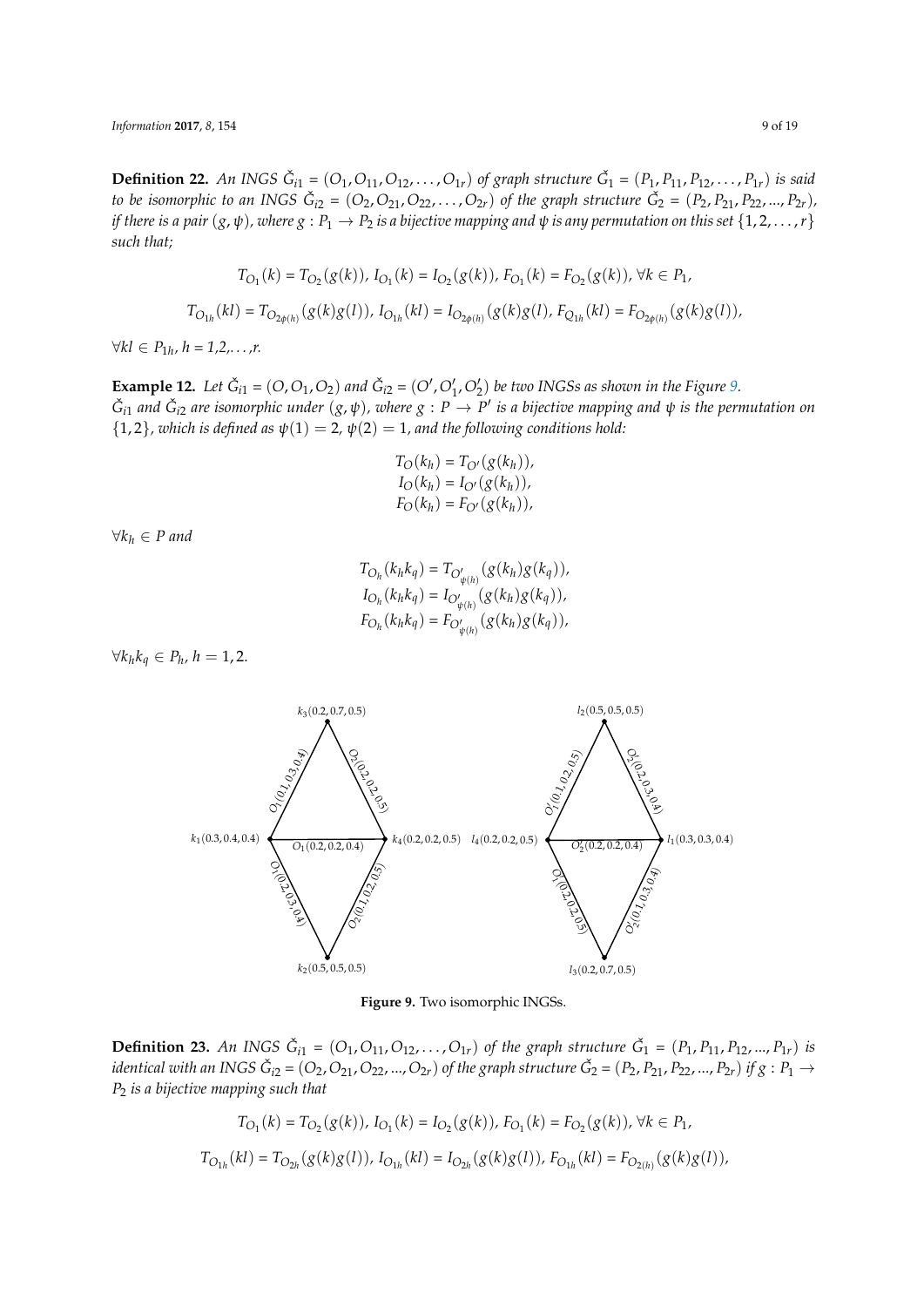**Definition 22.** An INGS  $\check{G}_{i1} = (O_1, O_{11}, O_{12}, \ldots, O_{1r})$  of graph structure  $\check{G}_1 = (P_1, P_{11}, P_{12}, \ldots, P_{1r})$  is said to be isomorphic to an INGS  $\check{G}_{i2} = (O_2, O_{21}, O_{22}, \ldots, O_{2r})$  of the graph structure  $\check{G}_2 = (P_2, P_{21}, P_{22}, ..., P_{2r})$ , *if there is a pair*  $(g, \psi)$ *, where*  $g: P_1 \to P_2$  *is a bijective mapping and*  $\psi$  *is any permutation on this set*  $\{1, 2, ..., r\}$ *such that;*

$$
T_{O_1}(k) = T_{O_2}(g(k)), I_{O_1}(k) = I_{O_2}(g(k)), F_{O_1}(k) = F_{O_2}(g(k)), \forall k \in P_1,
$$
  

$$
T_{O_{1h}}(kl) = T_{O_{2\phi(h)}}(g(k)g(l)), I_{O_{1h}}(kl) = I_{O_{2\phi(h)}}(g(k)g(l), F_{Q_{1h}}(kl) = F_{O_{2\phi(h)}}(g(k)g(l)),
$$

*∀kl ∈ P*1*<sup>h</sup> , h = 1,2,. . . ,r.*

**Example 12.** Let  $\check{G}_{i1} = (O, O_1, O_2)$  and  $\check{G}_{i2} = (O', O'_1, O'_2)$  be two INGSs as shown in the Figure 9.  $\check G_{i1}$  and  $\check G_{i2}$  are isomorphic under  $(g,\psi)$ , where  $g:P\to P'$  is a bijective mapping and  $\psi$  is the permutation on  ${1, 2}$ *, which is defined as*  $\psi(1) = 2$ ,  $\psi(2) = 1$ , and the following conditions hold:

$$
T_O(k_h) = T_{O'}(g(k_h)),
$$
  
\n
$$
I_O(k_h) = I_{O'}(g(k_h)),
$$
  
\n
$$
F_O(k_h) = F_{O'}(g(k_h)),
$$

*∀k<sup>h</sup> ∈ P and*

$$
T_{O_h}(k_h k_q) = T_{O'_{\psi(h)}}(g(k_h)g(k_q)),
$$
  
\n
$$
I_{O_h}(k_h k_q) = I_{O'_{\psi(h)}}(g(k_h)g(k_q)),
$$
  
\n
$$
F_{O_h}(k_h k_q) = F_{O'_{\psi(h)}}(g(k_h)g(k_q)),
$$

*∀* $k_h k_q \in P_h$ ,  $h = 1, 2$ .



**Figure 9.** Two isomorphic INGSs.

**Definition 23.** An INGS  $\check{G}_{i1} = (O_1, O_{11}, O_{12}, \ldots, O_{1r})$  of the graph structure  $\check{G}_1 = (P_1, P_{11}, P_{12}, \ldots, P_{1r})$  is identical with an INGS  $\check{G}_{i2}=(O_2,O_{21},O_{22},...,O_{2r})$  of the graph structure  $\check{G}_2=(P_2,P_{21},P_{22},...,P_{2r})$  if  $g:P_1\to P_2$ *P*<sup>2</sup> *is a bijective mapping such that*

$$
T_{O_1}(k) = T_{O_2}(g(k)), I_{O_1}(k) = I_{O_2}(g(k)), F_{O_1}(k) = F_{O_2}(g(k)), \forall k \in P_1,
$$
  

$$
T_{O_{1h}}(kl) = T_{O_{2h}}(g(k)g(l)), I_{O_{1h}}(kl) = I_{O_{2h}}(g(k)g(l)), F_{O_{1h}}(kl) = F_{O_{2(h)}}(g(k)g(l)),
$$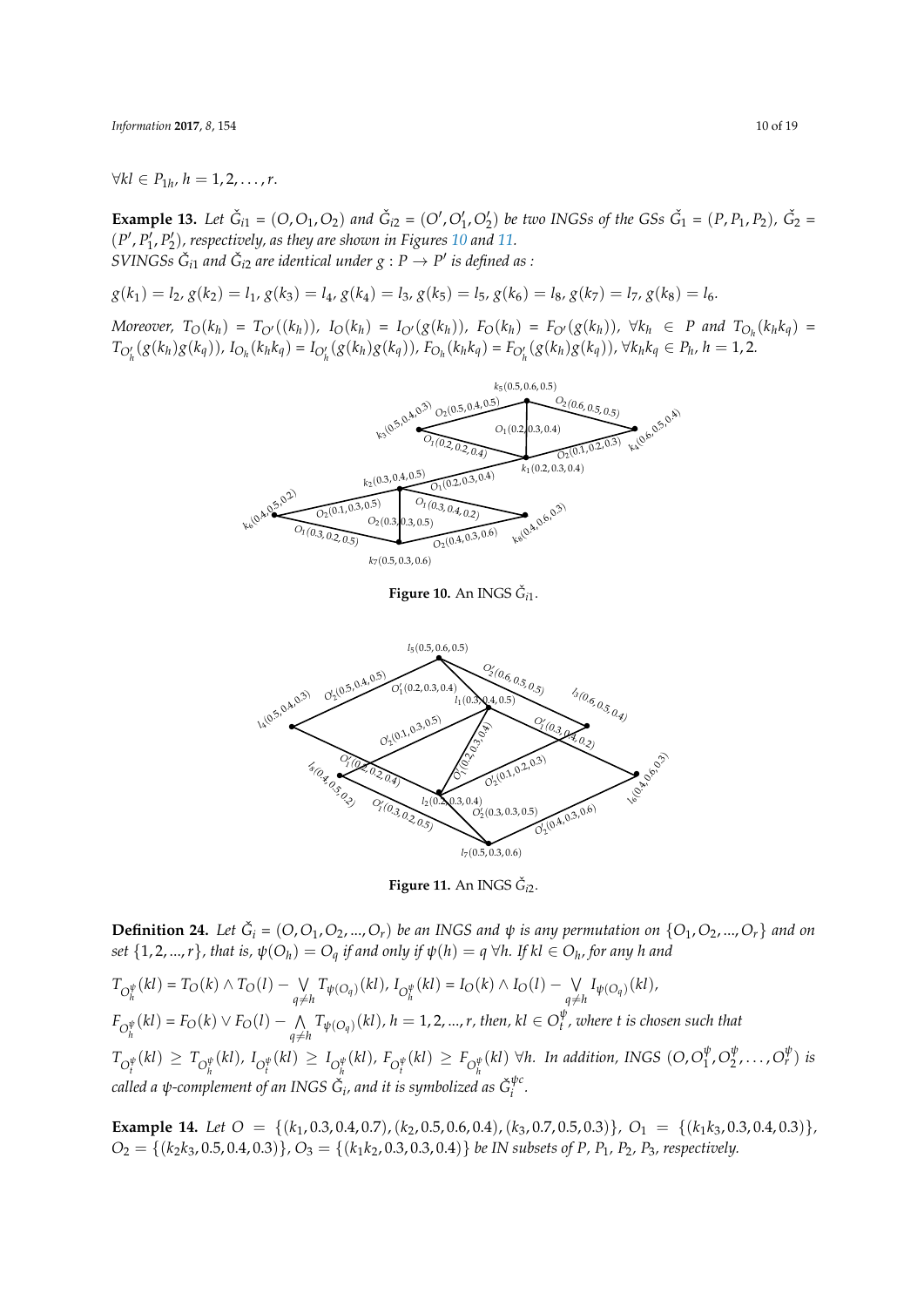*∀kl*  $\in$  *P*<sub>1*h*</sub>, *h* = 1, 2, . . . , *r*.

**Example 13.** Let  $\check{G}_{i1} = (O, O_1, O_2)$  and  $\check{G}_{i2} = (O', O'_1, O'_2)$  be two INGSs of the GSs  $\check{G}_1 = (P, P_1, P_2)$ ,  $\check{G}_2 = (P, P_1, P_1)$ (*P ′* , *P ′* 1 , *P ′* 2 )*, respectively, as they are shown in Figures 10 and 11.*  $S V IN G S s \ \breve{G}_{i1}$  and  $\breve{G}_{i2}$  are identical under  $g : P \rightarrow P'$  is defined as :

 $g(k_1) = l_2, g(k_2) = l_1, g(k_3) = l_4, g(k_4) = l_3, g(k_5) = l_5, g(k_6) = l_8, g(k_7) = l_7, g(k_8) = l_6.$ 

<span id="page-9-0"></span>Moreover,  $T_O(k_h) = T_{O'}((k_h))$  $T_O(k_h) = T_{O'}((k_h))$ ,  $I_O(k_h) = I_{O'}(g(k_h))$  $I_O(k_h) = I_{O'}(g(k_h))$  $I_O(k_h) = I_{O'}(g(k_h))$ ,  $F_O(k_h) = F_{O'}(g(k_h))$ ,  $\forall k_h \in P$  and  $T_{O_h}(k_h k_q) =$  $T_{O'_h}(g(k_h)g(k_q))$ ,  $I_{O_h}(k_hk_q) = I_{O'_h}(g(k_h)g(k_q))$ ,  $F_{O_h}(k_hk_q) = F_{O'_h}(g(k_h)g(k_q))$ ,  $\forall k_hk_q \in P_h$ ,  $h = 1, 2$ .



**Figure 10.** An INGS  $\check{G}_{i1}$ .

<span id="page-9-1"></span>

**Figure 11.** An INGS  $\check{G}_{i2}$ .

**Definition 24.** Let  $\check{G}_i$  =  $(O, O_1, O_2, ..., O_r)$  be an INGS and  $\psi$  is any permutation on  $\{O_1, O_2, ..., O_r\}$  and on set  $\{1,2,...,r\}$ , that is,  $\psi(O_h)=O_q$  if and only if  $\psi(h)=q$   $\forall h.$  If  $kl\in O_h$ , for any  $h$  and

 $T_{O_h^{\psi}}(kl) = T_O(k) \wedge T_O(l) - \bigvee_{a \neq k}$  $\bigvee_{q \neq h} T_{\psi(O_q)}(kl)$ *,*  $I_{O_h^{\psi}}(kl) = I_O(k) \wedge I_O(l) - \bigvee_{q \neq h}$  $\bigvee_{q \neq h} I_{\psi(O_q)}(kl)$  $F_{O_h^{\psi}}(kl) = F_O(k) \vee F_O(l) - \bigwedge_{a \neq k}$  $\bigwedge_{q \neq h} T_{\psi(O_q)}(kl)$ ,  $h = 1, 2, ..., r$ , then,  $kl \in O_t^{\psi}$ *t , where t is chosen such that*  $T_{O_t^{\psi}}(kl) \geq T_{O_h^{\psi}}(kl)$ ,  $I_{O_t^{\psi}}(kl) \geq I_{O_h^{\psi}}(kl)$ ,  $F_{O_t^{\psi}}(kl) \geq F_{O_h^{\psi}}(kl)$   $\forall h$ . In addition, INGS  $(O, O_1^{\psi})$  $\frac{\psi}{1}$ ,  $O_2^{\psi}$  $\frac{\psi}{2}, \ldots, O_r^{\psi}$  *is* called a ψ-complement of an INGS  $\check G_i$ , and it is symbolized as  $\check G_i^{\psi c}$ *i .*

**Example 14.** *Let O* = *{*(*k*1, 0.3, 0.4, 0.7),(*k*2, 0.5, 0.6, 0.4),(*k*3, 0.7, 0.5, 0.3)*}, O*<sup>1</sup> = *{*(*k*1*k*3, 0.3, 0.4, 0.3)*},*  $O_2 = \{(k_2k_3, 0.5, 0.4, 0.3)\}, O_3 = \{(k_1k_2, 0.3, 0.3, 0.4)\}$  *be IN subsets of P, P*<sub>1</sub>*, P*<sub>2</sub>*, P*<sub>3</sub>*, respectively.*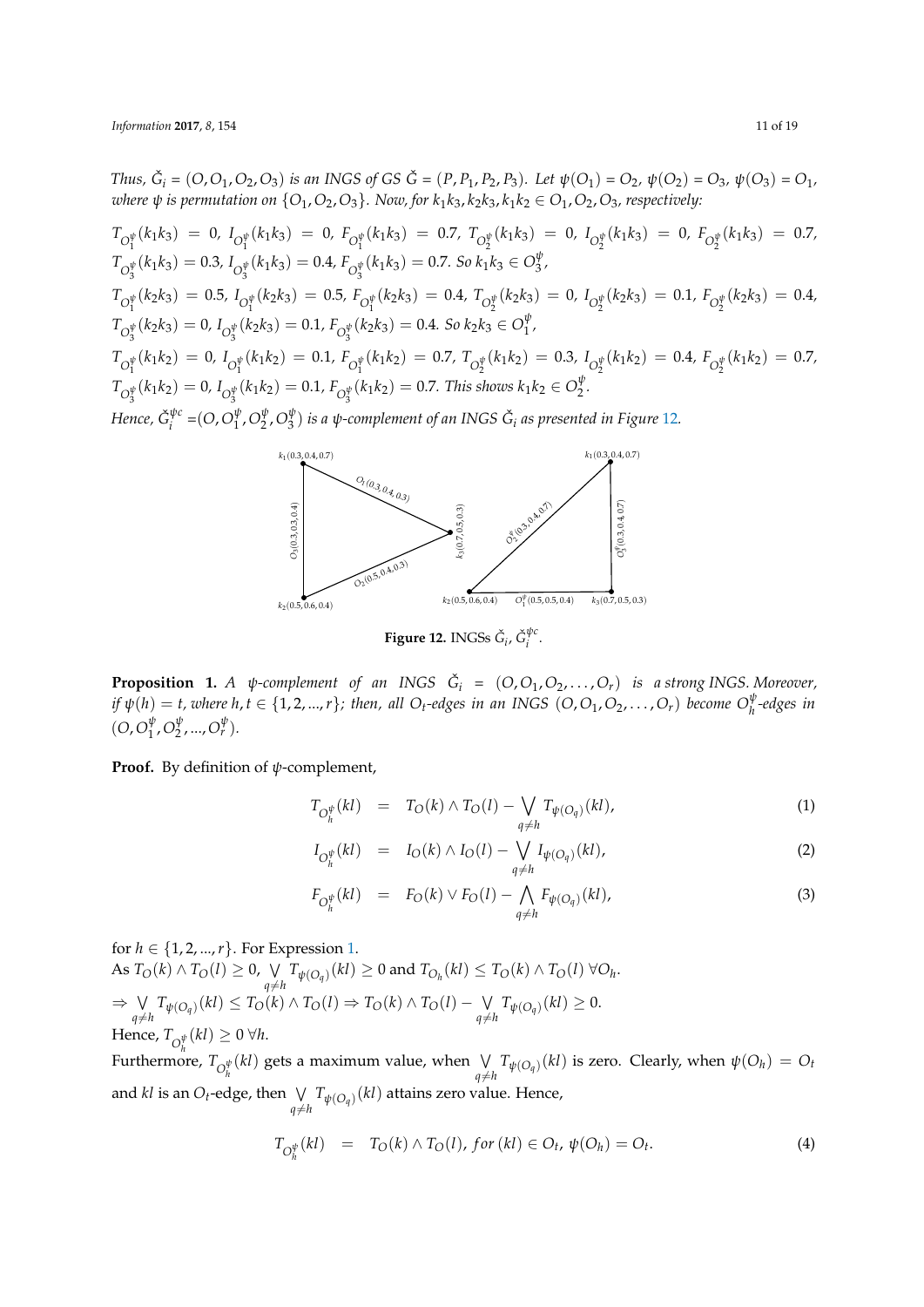Thus,  $\check{G}_i = (O, O_1, O_2, O_3)$  is an INGS of GS  $\check{G} = (P, P_1, P_2, P_3)$ . Let  $\psi(O_1) = O_2$ ,  $\psi(O_2) = O_3$ ,  $\psi(O_3) = O_1$ , *where*  $\psi$  *is permutation on*  $\{O_1, O_2, O_3\}$ *. Now, for*  $k_1k_3, k_2k_3, k_1k_2 \in O_1, O_2, O_3$ *, respectively:* 

$$
T_{O_1^{\psi}}(k_1k_3) = 0, I_{O_1^{\psi}}(k_1k_3) = 0, F_{O_1^{\psi}}(k_1k_3) = 0.7, T_{O_2^{\psi}}(k_1k_3) = 0, I_{O_2^{\psi}}(k_1k_3) = 0, F_{O_2^{\psi}}(k_1k_3) = 0.7,
$$
  
\n
$$
T_{O_3^{\psi}}(k_1k_3) = 0.3, I_{O_3^{\psi}}(k_1k_3) = 0.4, F_{O_3^{\psi}}(k_1k_3) = 0.7. So k_1k_3 \in O_3^{\psi},
$$
  
\n
$$
T_{O_1^{\psi}}(k_2k_3) = 0.5, I_{O_1^{\psi}}(k_2k_3) = 0.5, F_{O_1^{\psi}}(k_2k_3) = 0.4, T_{O_2^{\psi}}(k_2k_3) = 0, I_{O_2^{\psi}}(k_2k_3) = 0.1, F_{O_2^{\psi}}(k_2k_3) = 0.4,
$$
  
\n
$$
T_{O_3^{\psi}}(k_2k_3) = 0, I_{O_3^{\psi}}(k_2k_3) = 0.1, F_{O_3^{\psi}}(k_2k_3) = 0.4. So k_2k_3 \in O_1^{\psi},
$$
  
\n
$$
T_{O_1^{\psi}}(k_1k_2) = 0, I_{O_1^{\psi}}(k_1k_2) = 0.1, F_{O_1^{\psi}}(k_1k_2) = 0.7, T_{O_2^{\psi}}(k_1k_2) = 0.3, I_{O_2^{\psi}}(k_1k_2) = 0.4, F_{O_2^{\psi}}(k_1k_2) = 0.7,
$$
  
\n
$$
T_{O_3^{\psi}}(k_1k_2) = 0, I_{O_3^{\psi}}(k_1k_2) = 0.1, F_{O_3^{\psi}}(k_1k_2) = 0.7.
$$
 This shows  $k_1k_2 \in O_2^{\psi}.$   
\nHence,  $\check{G}_i^{\psi c} = (O, O_1^{\psi}, O_2^{\psi}, O_3^$ 



 $\mathbf{Figure \ 12. \ }$  INGSs  $\check{G}_i$ ,  $\check{G}_i^{\psi\alpha}$ *i* .

**Proposition 1.** A  $\psi$ -complement of an INGS  $\check{G}_i = (O, O_1, O_2, \ldots, O_r)$  is a strong INGS. Moreover, if  $\psi(h) = t$ , where  $h, t \in \{1, 2, ..., r\}$ ; then, all O<sub>t</sub>-edges in an INGS  $(O, O_1, O_2, ..., O_r)$  become  $O_h^{\psi}$ -edges in  $(O, O_1^{\psi})$  $\frac{\psi}{1}$ ,  $O_2^{\psi}$  $v_2^{\psi}, ..., O_r^{\psi}$ ).

## **Proof.** By definition of *ψ*-complement,

$$
T_{O_h^{\psi}}(kl) = T_O(k) \wedge T_O(l) - \bigvee_{q \neq h} T_{\psi(O_q)}(kl), \tag{1}
$$

$$
I_{O_h^{\psi}}(kl) = I_O(k) \wedge I_O(l) - \bigvee_{q \neq h} I_{\psi(O_q)}(kl), \tag{2}
$$

$$
F_{O_h^{\psi}}(kl) = F_O(k) \vee F_O(l) - \bigwedge_{q \neq h} F_{\psi(O_q)}(kl), \tag{3}
$$

for  $h \in \{1, 2, ..., r\}$ . For Expression 1. As  $T_O(k) \wedge T_O(l) \geq 0$ ,  $\vee$  $\bigvee_{q \neq h} T_{\psi(O_q)}(kl) \geq 0$  and  $T_{O_h}(kl) \leq T_O(k) \wedge T_O(l) \; \forall O_h.$ *⇒* ∨  $\bigvee_{q \neq h} T_{\psi(O_q)}(kl) \leq T_O(k) \wedge T_O(l) \Rightarrow T_O(k) \wedge T_O(l) - \bigvee_{q \neq h} T_O(l)$  $\bigvee_{q \neq h} T_{\psi(O_q)}(kl) \geq 0.$  $H$ ence,  $T_{\mathcal{O}_{h}^{\psi}}(kl) \geq 0 \ \forall h.$ 

Furthermore,  $T_{\mathcal{O}_h^{\psi}}(kl)$  gets a maximum value, when  $\bigvee_{a \neq k}$  $\bigvee_{q \neq h} T_{\psi(O_q)}(kl)$  is zero. Clearly, when  $\psi(O_h) = O_t$ and *kl* is an *O*<sub>*t*</sub>-edge, then  $\bigvee_{q \neq h} T_{\psi(O_q)}(kl)$  attains zero value. Hence,

<span id="page-10-0"></span>
$$
T_{O_h^{\psi}}(kl) = T_O(k) \wedge T_O(l), \text{ for } (kl) \in O_t, \psi(O_h) = O_t.
$$
 (4)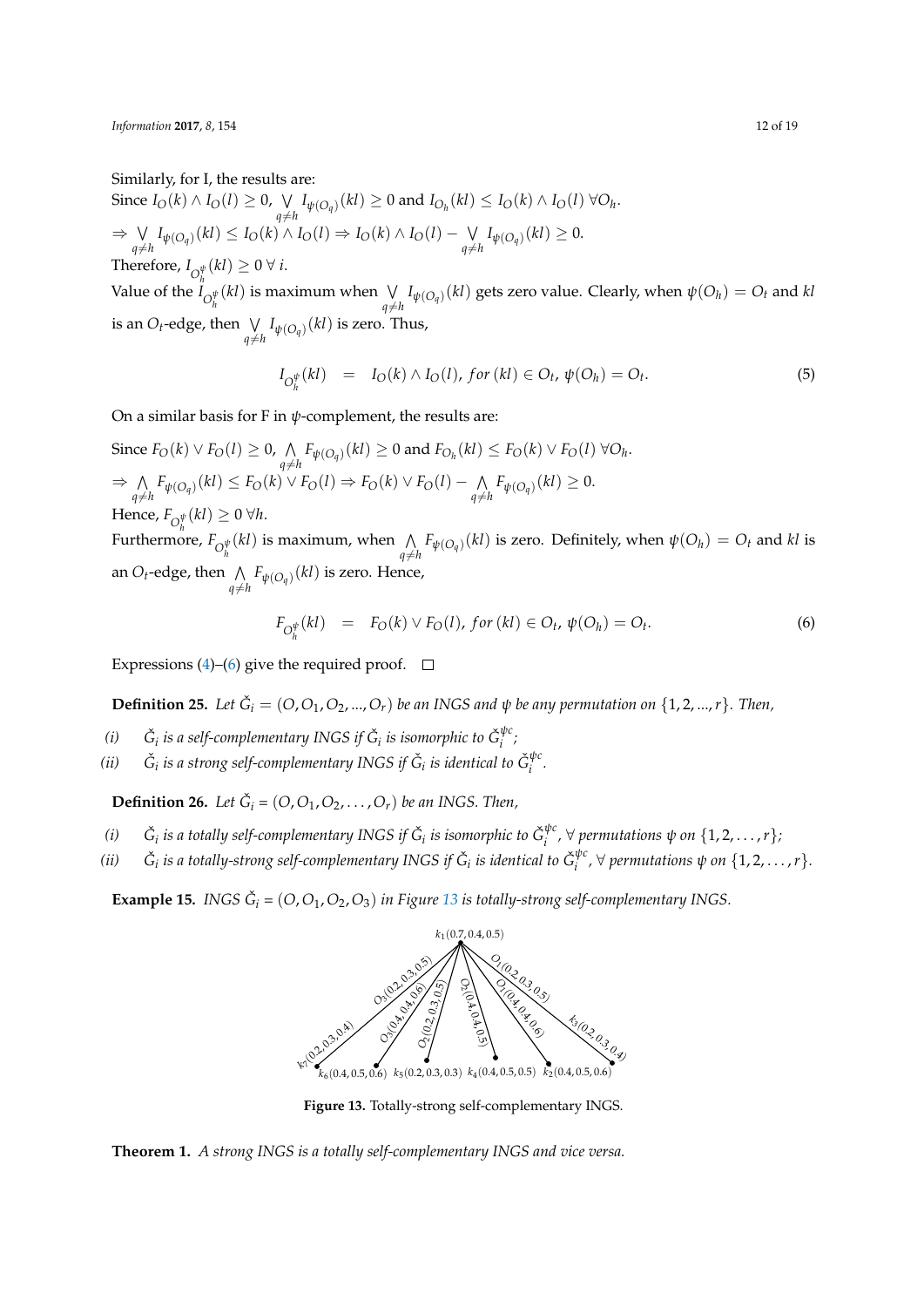Similarly, for I, the results are:

Since  $I_O(k) \wedge I_O(l) \geq 0$ ,  $\vee$  $\bigvee_{q \neq h} I_{\psi(O_q)}(kl) \geq 0$  and  $I_{O_h}(kl) \leq I_O(k) \wedge I_O(l) \; \forall O_h.$ *⇒* ∨  $\bigvee_{q \neq h} I_{\psi(O_q)}(kl) \leq I_O(k) \wedge I_O(l) \Rightarrow I_O(k) \wedge I_O(l) - \bigvee_{q \neq h} I_Q(k)$  $\bigvee_{q \neq h} I_{\psi(O_q)}(kl) \geq 0.$ Therefore,  $I_{\bigcirc_k^{\psi}}(kl) \geq 0 \; \forall \; i$ .

Value of the  $I_{O_h^{\psi}}(kl)$  is maximum when ∨<br>  $\psi_{a\neq b}$  $\bigvee_{q \neq h} I_{\psi(O_q)}(kl)$  gets zero value. Clearly, when  $\psi(O_h) = O_t$  and  $kl$ is an *O*<sub>*t*</sub>-edge, then  $\bigvee_{q \neq h} I_{\psi(O_q)}(kl)$  is zero. Thus,

$$
I_{O_h^{\psi}}(kl) = I_O(k) \wedge I_O(l), \text{ for } (kl) \in O_t, \psi(O_h) = O_t.
$$
 (5)

On a similar basis for F in *ψ*-complement, the results are:

Since  $F_O(k) \vee F_O(l) \geq 0$ ,  $\wedge$  $\bigwedge_{q \neq h} F_{\psi(O_q)}(kl) \geq 0$  and  $F_{O_h}(kl) \leq F_O(k) \vee F_O(l) \; \forall O_h$ . *⇒* ∧  $\bigwedge_{q \neq h} F_{\psi(O_q)}(kl) \leq F_O(k) \vee F_O(l) \Rightarrow F_O(k) \vee F_O(l) - \bigwedge_{q \neq h}$  $\bigwedge_{q \neq h} F_{\psi(O_q)}(kl) \geq 0.$  $H$ ence,  $F_{\mathcal{O}_{h}^{\psi}}(kl) \geq 0 \ \forall h.$ Furthermore,  $F_{\mathcal{O}_h^{\psi}}(kl)$  is maximum, when  $\bigwedge_{a \neq k}$  $\bigwedge_{q \neq h} F_{\psi(O_q)}(kl)$  is zero. Definitely, when  $\psi(O_h) = O_t$  and  $kl$  is

an  $O_t$ -edge, then  $\bigwedge_{q \neq h} F_{\psi(O_q)}(kl)$  is zero. Hence,

<span id="page-11-0"></span>
$$
F_{O_h^{\psi}}(kl) = F_O(k) \vee F_O(l), \text{ for } (kl) \in O_t, \psi(O_h) = O_t.
$$
 (6)

Expressions (4)–(6) give the required proof.  $\Box$ 

**Definition 25.** Let  $\check{G}_i = (O, O_1, O_2, ..., O_r)$  be an INGS and  $\psi$  be any permutation on  $\{1, 2, ..., r\}$ *. Then,* 

- $(i)$   $\breve{G}_i$  *is a se[lf-](#page-10-0)co[m](#page-11-0)plementary INGS if*  $\breve{G}_i$  *is isomorphic to*  $\breve{G}_i^{\psi c}$ *i ;*
- $(ii)$  $\tilde{a}_i$  *is a strong self-complementary INGS if*  $\check{G}_i$  *is identical to*  $\check{G}_i^{\psi\psi}$ *i .*

**Definition 26.** Let  $\check{G}_i = (O, O_1, O_2, \ldots, O_r)$  be an INGS. Then,

- $(i)$   $\breve{G}_i$  *is a totally self-complementary INGS if*  $\breve{G}_i$  *is isomorphic to*  $\breve{G}_i^{\psi\phi}$ *i , ∀ permutations ψ on {*1, 2, . . . ,*r};*
- $(ii)$  $\tilde{a}$  is a totally-strong self-complementary INGS if  $\check{G}_i$  is identical to  $\check{G}_i^{\psi G}$  $\int_i^{\psi_C}$ ,  $\forall$  permutations  $\psi$  on  $\{1, 2, \ldots, r\}$ .

<span id="page-11-1"></span>**Example 15.** *INGS*  $\check{G}_i$  =  $(O, O_1, O_2, O_3)$  *in Figure* 13 *is totally-strong self-complementary INGS.* 



**Figure 13.** Totally-strong self-complementary INGS.

**Theorem 1.** *A strong INGS is a totally self-complementary INGS and vice versa.*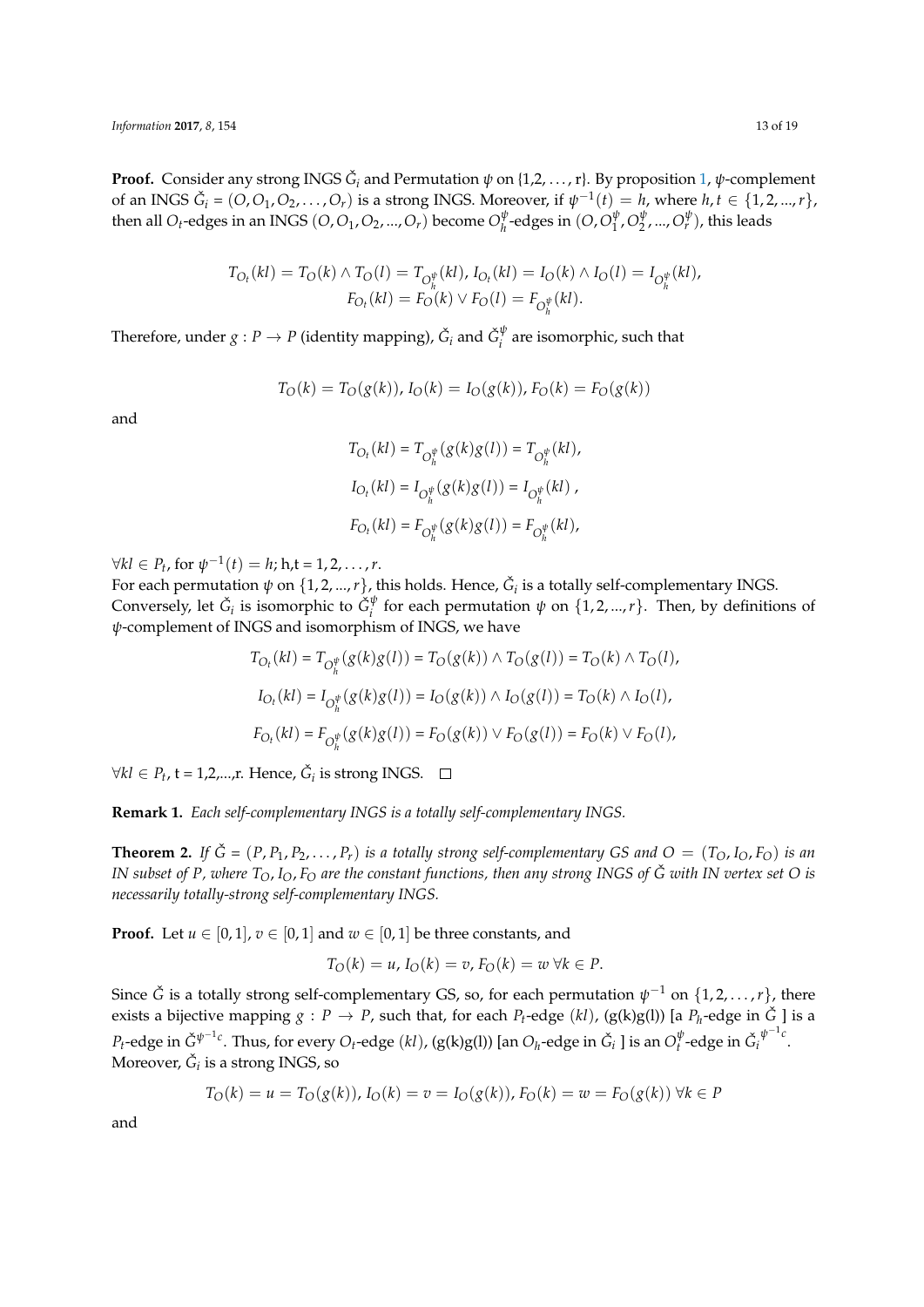**Proof.** Consider any strong INGS *G*ˇ *<sup>i</sup>* and Permutation *ψ* on {1,2, . . . , r}. By proposition 1, *ψ*-complement of an INGS  $\check{G}_i = (O, O_1, O_2, \ldots, O_r)$  is a strong INGS. Moreover, if  $\psi^{-1}(t) = h$ , where  $h, t \in \{1, 2, ..., r\}$ , then all  $O_t$ -edges in an INGS  $(O, O_1, O_2, ..., O_r)$  become  $O_h^{\psi}$  $\frac{\psi}{h}$ -edges in  $(O, O_1^{\psi})$  $\frac{\psi}{1}$ ,  $O_2^{\psi}$  $v_1^{\psi},..., O_r^{\psi}$ ), this leads

$$
T_{O_t}(kl) = T_O(k) \wedge T_O(l) = T_{O_h^{\psi}}(kl), I_{O_t}(kl) = I_O(k) \wedge I_O(l) = I_{O_h^{\psi}}(kl),
$$
  

$$
F_{O_t}(kl) = F_O(k) \vee F_O(l) = F_{O_h^{\psi}}(kl).
$$

*h*

Therefore, under  $g: P \to P$  (identity mapping),  $\check{G}_i$  and  $\check{G}_i^{\psi}$  $i$ <sup> $\gamma$ </sup> are isomorphic, such that

$$
T_O(k) = T_O(g(k)), I_O(k) = I_O(g(k)), F_O(k) = F_O(g(k))
$$

and

$$
\begin{aligned} T_{O_t}(kl) &= T_{O_h^{\psi}}(g(k)g(l)) = T_{O_h^{\psi}}(kl), \\ I_{O_t}(kl) &= I_{O_h^{\psi}}(g(k)g(l)) = I_{O_h^{\psi}}(kl)\;, \\ F_{O_t}(kl) &= F_{O_h^{\psi}}(g(k)g(l)) = F_{O_h^{\psi}}(kl), \end{aligned}
$$

*∀kl*  $\in$  *P*<sub>t</sub>, for  $\psi^{-1}(t) = h$ ; h,t = 1, 2, . . . , *r*.

For each permutation  $\psi$  on  $\{1, 2, ..., r\}$ , this holds. Hence,  $\check{G}_i$  is a totally self-complementary INGS. Conversely, let  $\check{G}_i$  is isomorphic to  $\check{G}_i^\psi$ *<sup>ψ</sup>*</sup> for each permutation  $\psi$  on  $\{1, 2, ..., r\}$ . Then, by definitions of *ψ*-complement of INGS and isomorphism of INGS, we have

$$
T_{O_t}(kl) = T_{O_h^{\psi}}(g(k)g(l)) = T_O(g(k)) \wedge T_O(g(l)) = T_O(k) \wedge T_O(l),
$$
  
\n
$$
I_{O_t}(kl) = I_{O_h^{\psi}}(g(k)g(l)) = I_O(g(k)) \wedge I_O(g(l)) = T_O(k) \wedge I_O(l),
$$
  
\n
$$
F_{O_t}(kl) = F_{O_h^{\psi}}(g(k)g(l)) = F_O(g(k)) \vee F_O(g(l)) = F_O(k) \vee F_O(l),
$$

*∀kl* ∈ *P*<sub>t</sub>, t = 1,2,...,r. Hence,  $\check{G}_i$  is strong INGS.

**Remark 1.** *Each self-complementary INGS is a totally self-complementary INGS.*

**Theorem 2.** If  $\check{G} = (P, P_1, P_2, \ldots, P_r)$  *is a totally strong self-complementary GS and*  $O = (T_O, I_O, F_O)$  *<i>is an IN subset of P, where*  $T_O$ ,  $I_O$ ,  $F_O$  are the constant functions, then any strong INGS of  $\check{G}$  with IN vertex set O is *necessarily totally-strong self-complementary INGS.*

**Proof.** Let  $u \in [0,1]$ ,  $v \in [0,1]$  and  $w \in [0,1]$  be three constants, and

$$
T_O(k) = u, I_O(k) = v, F_O(k) = w \,\forall k \in P.
$$

Since  $\check{G}$  is a totally strong self-complementary GS, so, for each permutation  $\psi^{-1}$  on  $\{1, 2, \ldots, r\}$ , there exists a bijective mapping  $g: P \to P$ , such that, for each  $P_t\text{-edge }(kl)$ , (g(k)g(l)) [a  $P_h\text{-edge}$  in  $\check G$  ] is a  $P_t$ -edge in  $\check{G}^{\psi^{-1}c}$ . Thus, for every  $O_t$ -edge  $(kl)$ , (g(k)g(l)) [an  $O_h$ -edge in  $\check{G}_i$  ] is an  $O_t^\psi$  $_{t}^{\psi}$ -edge in  $\check{G}_{i}$ *ψ −*1 *c* . Moreover,  $\check{\mathrm{G}}_i$  is a strong INGS, so

$$
T_O(k) = u = T_O(g(k)), I_O(k) = v = I_O(g(k)), F_O(k) = w = F_O(g(k)) \,\forall k \in P
$$

and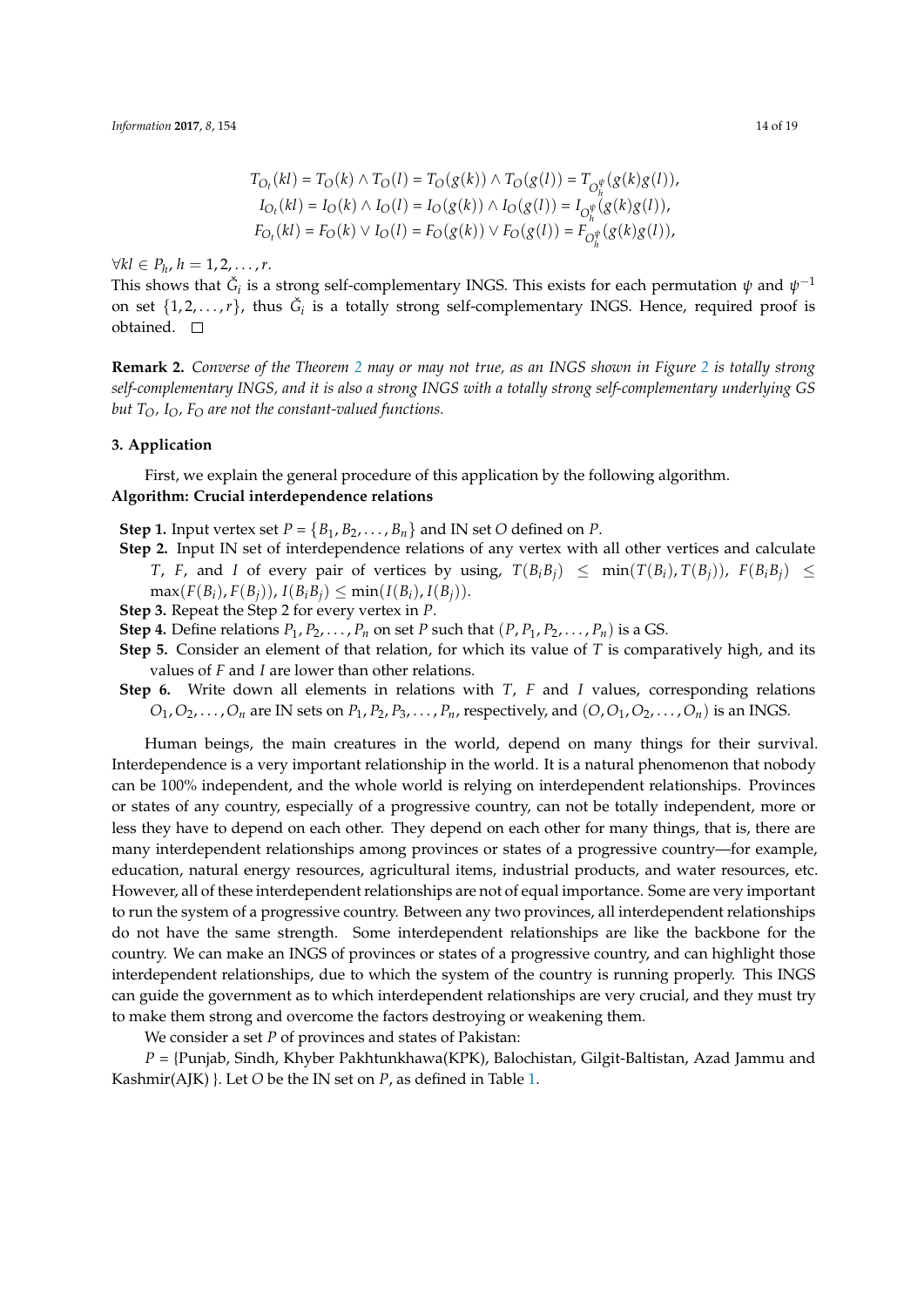$$
T_{O_t}(kl) = T_O(k) \wedge T_O(l) = T_O(g(k)) \wedge T_O(g(l)) = T_{O_{f_t}^{\psi}}(g(k)g(l)),
$$
  
\n
$$
I_{O_t}(kl) = I_O(k) \wedge I_O(l) = I_O(g(k)) \wedge I_O(g(l)) = I_{O_{f_t}^{\psi}}(g(k)g(l)),
$$
  
\n
$$
F_{O_t}(kl) = F_O(k) \vee I_O(l) = F_O(g(k)) \vee F_O(g(l)) = F_{O_{f_t}^{\psi}}(g(k)g(l)),
$$

 $\forall$ *k* $l$  ∈  $P_h$ ,  $h$  = 1, 2, . . . , r.

This shows that  $\check{G}_i$  is a strong self-complementary INGS. This exists for each permutation  $\psi$  and  $\psi^{-1}$ on set  $\{1, 2, \ldots, r\}$ , thus  $\check{G}_i$  is a totally strong self-complementary INGS. Hence, required proof is obtained.  $\square$ 

**Remark 2.** *Converse of the Theorem 2 may or may not true, as an INGS shown in Figure 2 is totally strong self-complementary INGS, and it is also a strong INGS with a totally strong self-complementary underlying GS but TO, IO, F<sup>O</sup> are not the constant-valued functions.*

# **3. Application**

First, we explain the general procedure of this application by the following algorithm. **Algorithm: Crucial interdependence relations**

**Step 1.** Input vertex set  $P = \{B_1, B_2, \ldots, B_n\}$  and IN set *O* defined on *P*.

- **Step 2.** Input IN set of interdependence relations of any vertex with all other vertices and calculate T, F, and I of every pair of vertices by using,  $T(B_iB_j) \leq \min(T(B_i), T(B_j))$ ,  $F(B_iB_j) \leq$  $\max(F(B_i), F(B_i))$ ,  $I(B_i, B_i) \leq \min(I(B_i), I(B_i))$ .
- **Step 3.** Repeat the Step 2 for every vertex in *P*.
- **Step 4.** Define relations  $P_1, P_2, \ldots, P_n$  on set *P* such that  $(P, P_1, P_2, \ldots, P_n)$  is a GS.
- **Step 5.** Consider an element of that relation, for which its value of *T* is comparatively high, and its values of *F* and *I* are lower than other relations.
- **Step 6.** Write down all elements in relations with *T*, *F* and *I* values, corresponding relations  $O_1, O_2, \ldots, O_n$  are IN sets on  $P_1, P_2, P_3, \ldots, P_n$ , respectively, and  $(O, O_1, O_2, \ldots, O_n)$  is an INGS.

Human beings, the main creatures in the world, depend on many things for their survival. Interdependence is a very important relationship in the world. It is a natural phenomenon that nobody can be 100% independent, and the whole world is relying on interdependent relationships. Provinces or states of any country, especially of a progressive country, can not be totally independent, more or less they have to depend on each other. They depend on each other for many things, that is, there are many interdependent relationships among provinces or states of a progressive country—for example, education, natural energy resources, agricultural items, industrial products, and water resources, etc. However, all of these interdependent relationships are not of equal importance. Some are very important to run the system of a progressive country. Between any two provinces, all interdependent relationships do not have the same strength. Some interdependent relationships are like the backbone for the country. We can make an INGS of provinces or states of a progressive country, and can highlight those interdependent relationships, due to which the system of the country is running properly. This INGS can guide the government as to which interdependent relationships are very crucial, and they must try to make them strong and overcome the factors destroying or weakening them.

We consider a set *P* of provinces and states of Pakistan:

*P* = {Punjab, Sindh, Khyber Pakhtunkhawa(KPK), Balochistan, Gilgit-Baltistan, Azad Jammu and Kashmir(AJK) }. Let *O* be the IN set on *P*, as defined in Table 1.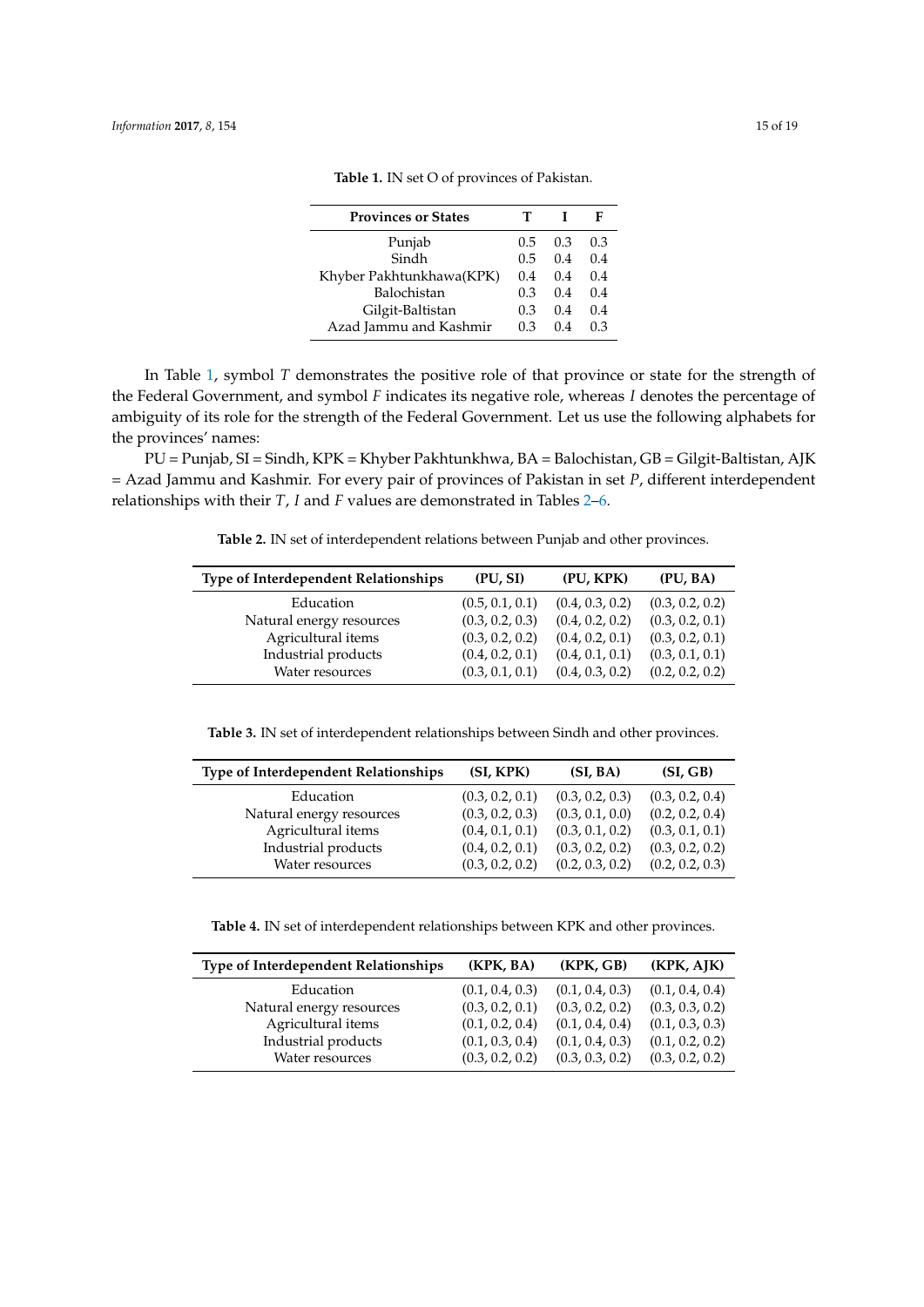| <b>Provinces or States</b> |     |     | F   |
|----------------------------|-----|-----|-----|
| Punjab                     | 0.5 | 0.3 | 0.3 |
| Sindh                      | 0.5 | 0.4 | 0.4 |
| Khyber Pakhtunkhawa(KPK)   | 0.4 | 0.4 | 0.4 |
| Balochistan                | 0.3 | 0.4 | 0.4 |
| Gilgit-Baltistan           | 0.3 | 0.4 | 0.4 |
| Azad Jammu and Kashmir     | 0.3 | 04  | 0.3 |

**Table 1.** IN set O of provinces of Pakistan.

<span id="page-14-0"></span>In Table 1, symbol *T* demonstrates the positive role of that province or state for the strength of the Federal Government, and symbol *F* indicates its negative role, whereas *I* denotes the percentage of ambiguity of its role for the strength of the Federal Government. Let us use the following alphabets for the provinces' names:

PU = Pu[nja](#page-14-0)b, SI = Sindh, KPK = Khyber Pakhtunkhwa, BA = Balochistan, GB = Gilgit-Baltistan, AJK = Azad Jammu and Kashmir. For every pair of provinces of Pakistan in set *P*, different interdependent relationships with their *T*, *I* and *F* values are demonstrated in Tables 2–6.

**Table 2.** IN set of interdependent relations between Punjab and other provinces.

<span id="page-14-1"></span>

| <b>Type of Interdependent Relationships</b> | (PU, SI)        | (PU, KPK)       | (PU, BA)        |
|---------------------------------------------|-----------------|-----------------|-----------------|
| Education                                   | (0.5, 0.1, 0.1) | (0.4, 0.3, 0.2) | (0.3, 0.2, 0.2) |
| Natural energy resources                    | (0.3, 0.2, 0.3) | (0.4, 0.2, 0.2) | (0.3, 0.2, 0.1) |
| Agricultural items                          | (0.3, 0.2, 0.2) | (0.4, 0.2, 0.1) | (0.3, 0.2, 0.1) |
| Industrial products                         | (0.4, 0.2, 0.1) | (0.4, 0.1, 0.1) | (0.3, 0.1, 0.1) |
| Water resources                             | (0.3, 0.1, 0.1) | (0.4, 0.3, 0.2) | (0.2, 0.2, 0.2) |

**Table 3.** IN set of interdependent relationships between Sindh and other provinces.

| Type of Interdependent Relationships | (SI, KPK)       | (SI, BA)        | (SI, GB)        |
|--------------------------------------|-----------------|-----------------|-----------------|
| Education                            | (0.3, 0.2, 0.1) | (0.3, 0.2, 0.3) | (0.3, 0.2, 0.4) |
| Natural energy resources             | (0.3, 0.2, 0.3) | (0.3, 0.1, 0.0) | (0.2, 0.2, 0.4) |
| Agricultural items                   | (0.4, 0.1, 0.1) | (0.3, 0.1, 0.2) | (0.3, 0.1, 0.1) |
| Industrial products                  | (0.4, 0.2, 0.1) | (0.3, 0.2, 0.2) | (0.3, 0.2, 0.2) |
| Water resources                      | (0.3, 0.2, 0.2) | (0.2, 0.3, 0.2) | (0.2, 0.2, 0.3) |

**Table 4.** IN set of interdependent relationships between KPK and other provinces.

| <b>Type of Interdependent Relationships</b> | (KPK, BA)       | (KPK, GB)       | (KPK, AJK)      |
|---------------------------------------------|-----------------|-----------------|-----------------|
| Education                                   | (0.1, 0.4, 0.3) | (0.1, 0.4, 0.3) | (0.1, 0.4, 0.4) |
| Natural energy resources                    | (0.3, 0.2, 0.1) | (0.3, 0.2, 0.2) | (0.3, 0.3, 0.2) |
| Agricultural items                          | (0.1, 0.2, 0.4) | (0.1, 0.4, 0.4) | (0.1, 0.3, 0.3) |
| Industrial products                         | (0.1, 0.3, 0.4) | (0.1, 0.4, 0.3) | (0.1, 0.2, 0.2) |
| Water resources                             | (0.3, 0.2, 0.2) | (0.3, 0.3, 0.2) | (0.3, 0.2, 0.2) |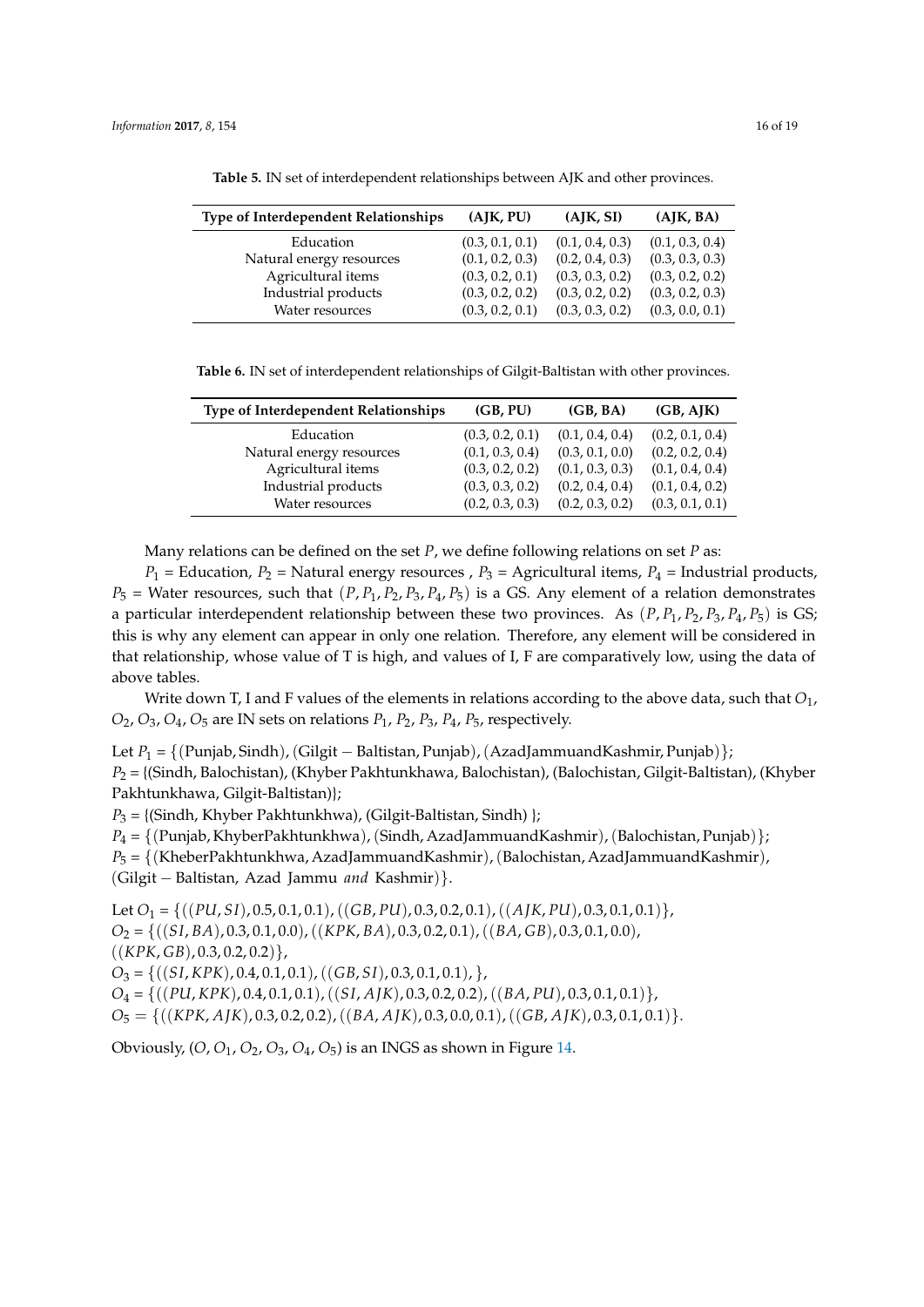| <b>Type of Interdependent Relationships</b> | (AJK, PU)       | (AJK, SI)       | (AJK, BA)       |
|---------------------------------------------|-----------------|-----------------|-----------------|
| Education                                   | (0.3, 0.1, 0.1) | (0.1, 0.4, 0.3) | (0.1, 0.3, 0.4) |
| Natural energy resources                    | (0.1, 0.2, 0.3) | (0.2, 0.4, 0.3) | (0.3, 0.3, 0.3) |
| Agricultural items                          | (0.3, 0.2, 0.1) | (0.3, 0.3, 0.2) | (0.3, 0.2, 0.2) |
| Industrial products                         | (0.3, 0.2, 0.2) | (0.3, 0.2, 0.2) | (0.3, 0.2, 0.3) |
| Water resources                             | (0.3, 0.2, 0.1) | (0.3, 0.3, 0.2) | (0.3, 0.0, 0.1) |

**Table 5.** IN set of interdependent relationships between AJK and other provinces.

**Table 6.** IN set of interdependent relationships of Gilgit-Baltistan with other provinces.

<span id="page-15-0"></span>

| <b>Type of Interdependent Relationships</b> | (GB, PU)        | (GB, BA)        | (GB, AJK)       |
|---------------------------------------------|-----------------|-----------------|-----------------|
| Education                                   | (0.3, 0.2, 0.1) | (0.1, 0.4, 0.4) | (0.2, 0.1, 0.4) |
| Natural energy resources                    | (0.1, 0.3, 0.4) | (0.3, 0.1, 0.0) | (0.2, 0.2, 0.4) |
| Agricultural items                          | (0.3, 0.2, 0.2) | (0.1, 0.3, 0.3) | (0.1, 0.4, 0.4) |
| Industrial products                         | (0.3, 0.3, 0.2) | (0.2, 0.4, 0.4) | (0.1, 0.4, 0.2) |
| Water resources                             | (0.2, 0.3, 0.3) | (0.2, 0.3, 0.2) | (0.3, 0.1, 0.1) |

Many relations can be defined on the set *P*, we define following relations on set *P* as:

 $P_1$  = Education,  $P_2$  = Natural energy resources,  $P_3$  = Agricultural items,  $P_4$  = Industrial products,  $P_5$  = Water resources, such that  $(P, P_1, P_2, P_3, P_4, P_5)$  is a GS. Any element of a relation demonstrates a particular interdependent relationship between these two provinces. As  $(P, P_1, P_2, P_3, P_4, P_5)$  is GS; this is why any element can appear in only one relation. Therefore, any element will be considered in that relationship, whose value of T is high, and values of I, F are comparatively low, using the data of above tables.

Write down T, I and F values of the elements in relations according to the above data, such that *O*1, *O*2, *O*3, *O*4, *O*<sup>5</sup> are IN sets on relations *P*1, *P*2, *P*3, *P*4, *P*5, respectively.

Let *P*<sup>1</sup> = *{*(Punjab, Sindh),(Gilgit *−* Baltistan, Punjab),(AzadJammuandKashmir, Punjab)*}*;

*P*<sup>2</sup> = {(Sindh, Balochistan), (Khyber Pakhtunkhawa, Balochistan), (Balochistan, Gilgit-Baltistan), (Khyber Pakhtunkhawa, Gilgit-Baltistan)};

*P*<sup>3</sup> = {(Sindh, Khyber Pakhtunkhwa), (Gilgit-Baltistan, Sindh) };

*P*<sup>4</sup> = *{*(Punjab, KhyberPakhtunkhwa),(Sindh, AzadJammuandKashmir),(Balochistan, Punjab)*}*;

*P*<sup>5</sup> = *{*(KheberPakhtunkhwa, AzadJammuandKashmir),(Balochistan, AzadJammuandKashmir), (Gilgit *−* Baltistan, Azad Jammu *and* Kashmir)*}*.

Let *O*<sup>1</sup> = *{*((*PU*, *SI*), 0.5, 0.1, 0.1),((*GB*, *PU*), 0.3, 0.2, 0.1),((*A JK*, *PU*), 0.3, 0.1, 0.1)*}*, *O*<sup>2</sup> = *{*((*SI*, *BA*), 0.3, 0.1, 0.0),((*KPK*, *BA*), 0.3, 0.2, 0.1),((*BA*, *GB*), 0.3, 0.1, 0.0), ((*KPK*, *GB*), 0.3, 0.2, 0.2)*}*, *O*<sup>3</sup> = *{*((*SI*, *KPK*), 0.4, 0.1, 0.1),((*GB*, *SI*), 0.3, 0.1, 0.1), *}*, *O*<sup>4</sup> = *{*((*PU*, *KPK*), 0.4, 0.1, 0.1),((*SI*, *A JK*), 0.3, 0.2, 0.2),((*BA*, *PU*), 0.3, 0.1, 0.1)*}*, *O*<sup>5</sup> = *{*((*KPK*, *A JK*), 0.3, 0.2, 0.2),((*BA*, *A JK*), 0.3, 0.0, 0.1),((*GB*, *A JK*), 0.3, 0.1, 0.1)*}*.

Obviously, (*O*, *O*1, *O*2, *O*3, *O*4, *O*5) is an INGS as shown in Figure 14.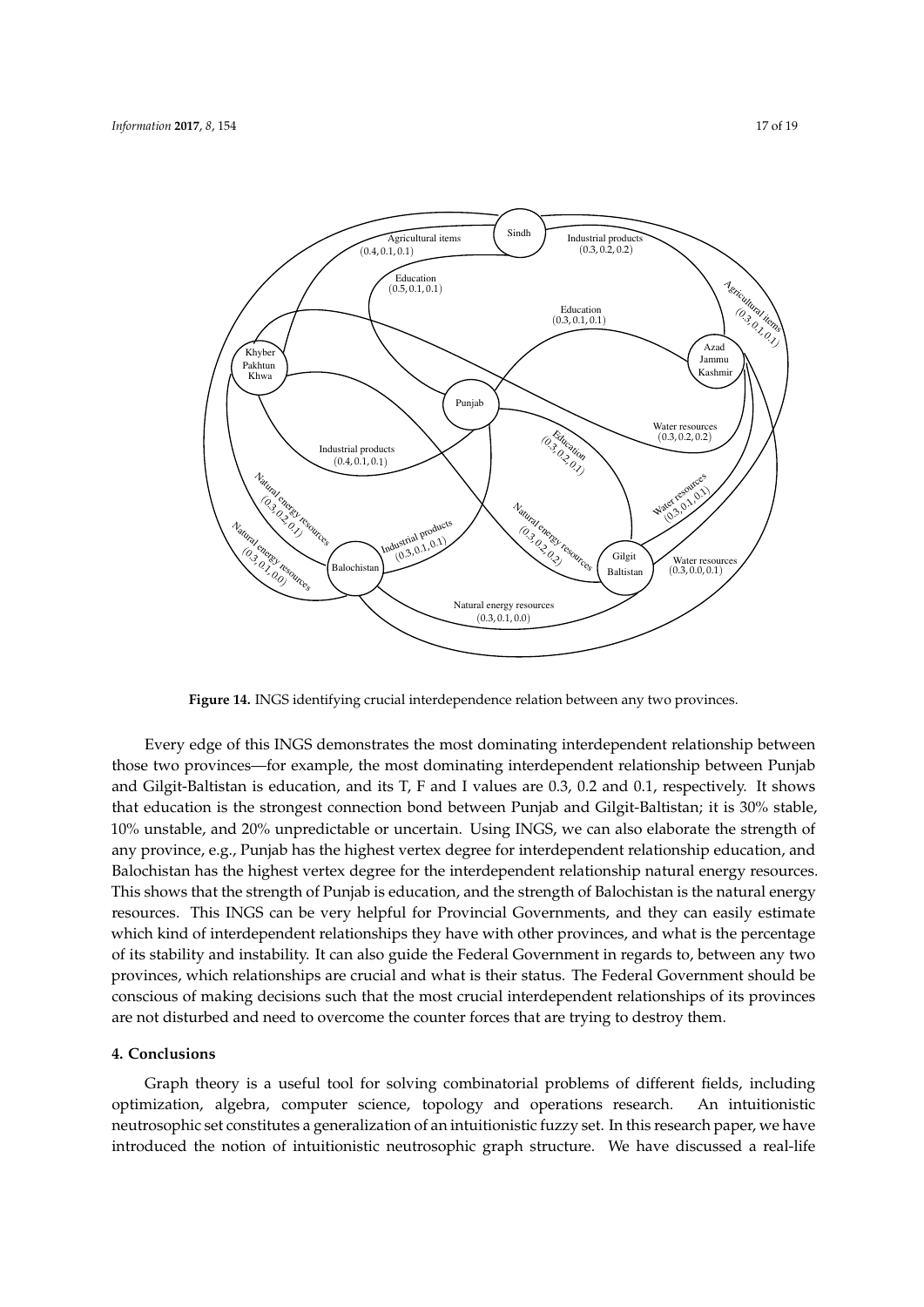

**Figure 14.** INGS identifying crucial interdependence relation between any two provinces.

Every edge of this INGS demonstrates the most dominating interdependent relationship between those two provinces—for example, the most dominating interdependent relationship between Punjab and Gilgit-Baltistan is education, and its T, F and I values are 0.3, 0.2 and 0.1, respectively. It shows that education is the strongest connection bond between Punjab and Gilgit-Baltistan; it is 30% stable, 10% unstable, and 20% unpredictable or uncertain. Using INGS, we can also elaborate the strength of any province, e.g., Punjab has the highest vertex degree for interdependent relationship education, and Balochistan has the highest vertex degree for the interdependent relationship natural energy resources. This shows that the strength of Punjab is education, and the strength of Balochistan is the natural energy resources. This INGS can be very helpful for Provincial Governments, and they can easily estimate which kind of interdependent relationships they have with other provinces, and what is the percentage of its stability and instability. It can also guide the Federal Government in regards to, between any two provinces, which relationships are crucial and what is their status. The Federal Government should be conscious of making decisions such that the most crucial interdependent relationships of its provinces are not disturbed and need to overcome the counter forces that are trying to destroy them.

#### **4. Conclusions**

Graph theory is a useful tool for solving combinatorial problems of different fields, including optimization, algebra, computer science, topology and operations research. An intuitionistic neutrosophic set constitutes a generalization of an intuitionistic fuzzy set. In this research paper, we have introduced the notion of intuitionistic neutrosophic graph structure. We have discussed a real-life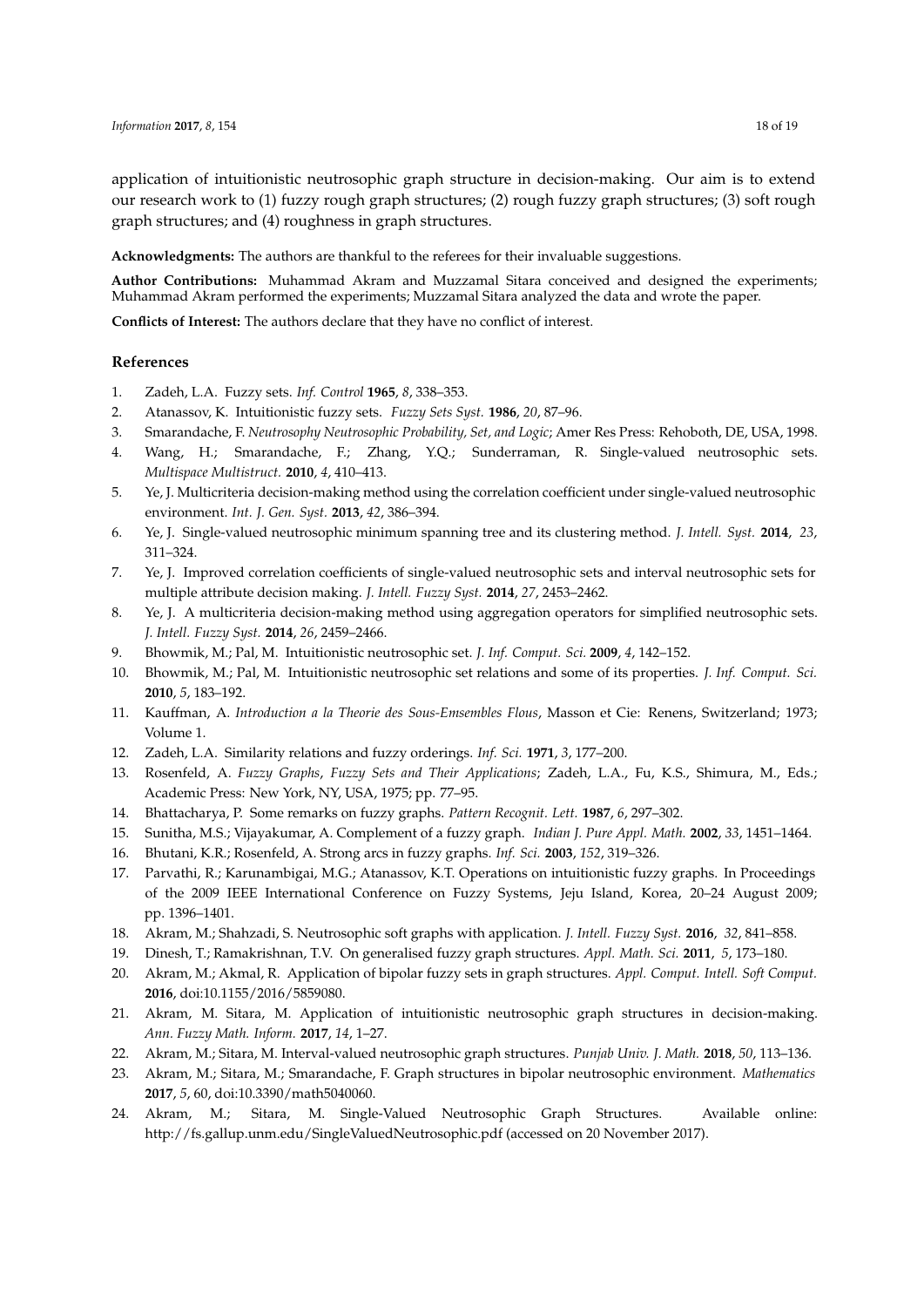application of intuitionistic neutrosophic graph structure in decision-making. Our aim is to extend our research work to (1) fuzzy rough graph structures; (2) rough fuzzy graph structures; (3) soft rough graph structures; and (4) roughness in graph structures.

**Acknowledgments:** The authors are thankful to the referees for their invaluable suggestions.

**Author Contributions:** Muhammad Akram and Muzzamal Sitara conceived and designed the experiments; Muhammad Akram performed the experiments; Muzzamal Sitara analyzed the data and wrote the paper.

**Conflicts of Interest:** The authors declare that they have no conflict of interest.

#### **References**

- <span id="page-17-0"></span>1. Zadeh, L.A. Fuzzy sets. *Inf. Control* **1965**, *8*, 338–353.
- <span id="page-17-1"></span>2. Atanassov, K. Intuitionistic fuzzy sets. *Fuzzy Sets Syst.* **1986**, *20*, 87–96.
- <span id="page-17-2"></span>3. Smarandache, F. *Neutrosophy Neutrosophic Probability, Set, and Logic*; Amer Res Press: Rehoboth, DE, USA, 1998.
- <span id="page-17-17"></span>4. Wang, H.; Smarandache, F.; Zhang, Y.Q.; Sunderraman, R. Single-valued neutrosophic sets. *Multispace Multistruct.* **2010**, *4*, 410–413.
- <span id="page-17-3"></span>5. Ye, J. Multicriteria decision-making method using the correlation coefficient under single-valued neutrosophic environment. *Int. J. Gen. Syst.* **2013**, *42*, 386–394.
- 6. Ye, J. Single-valued neutrosophic minimum spanning tree and its clustering method. *J. Intell. Syst.* **2014**, *23*, 311–324.
- 7. Ye, J. Improved correlation coefficients of single-valued neutrosophic sets and interval neutrosophic sets for multiple attribute decision making. *J. Intell. Fuzzy Syst.* **2014**, *27*, 2453–2462.
- <span id="page-17-4"></span>8. Ye, J. A multicriteria decision-making method using aggregation operators for simplified neutrosophic sets. *J. Intell. Fuzzy Syst.* **2014**, *26*, 2459–2466.
- <span id="page-17-5"></span>9. Bhowmik, M.; Pal, M. Intuitionistic neutrosophic set. *J. Inf. Comput. Sci.* **2009**, *4*, 142–152.
- <span id="page-17-6"></span>10. Bhowmik, M.; Pal, M. Intuitionistic neutrosophic set relations and some of its properties. *J. Inf. Comput. Sci.* **2010**, *5*, 183–192.
- <span id="page-17-7"></span>11. Kauffman, A. *Introduction a la Theorie des Sous-Emsembles Flous*, Masson et Cie: Renens, Switzerland; 1973; Volume 1.
- <span id="page-17-8"></span>12. Zadeh, L.A. Similarity relations and fuzzy orderings. *Inf. Sci.* **1971**, *3*, 177–200.
- <span id="page-17-9"></span>13. Rosenfeld, A. *Fuzzy Graphs*, *Fuzzy Sets and Their Applications*; Zadeh, L.A., Fu, K.S., Shimura, M., Eds.; Academic Press: New York, NY, USA, 1975; pp. 77–95.
- 14. Bhattacharya, P. Some remarks on fuzzy graphs. *Pattern Recognit. Lett.* **1987**, *6*, 297–302.
- <span id="page-17-10"></span>15. Sunitha, M.S.; Vijayakumar, A. Complement of a fuzzy graph. *Indian J. Pure Appl. Math.* **2002**, *33*, 1451–1464.
- <span id="page-17-11"></span>16. Bhutani, K.R.; Rosenfeld, A. Strong arcs in fuzzy graphs. *Inf. Sci.* **2003**, *152*, 319–326.
- <span id="page-17-12"></span>17. Parvathi, R.; Karunambigai, M.G.; Atanassov, K.T. Operations on intuitionistic fuzzy graphs. In Proceedings of the 2009 IEEE International Conference on Fuzzy Systems, Jeju Island, Korea, 20–24 August 2009; pp. 1396–1401.
- <span id="page-17-13"></span>18. Akram, M.; Shahzadi, S. Neutrosophic soft graphs with application. *J. Intell. Fuzzy Syst.* **2016**, *32*, 841–858.
- <span id="page-17-14"></span>19. Dinesh, T.; Ramakrishnan, T.V. On generalised fuzzy graph structures. *Appl. Math. Sci.* **2011**, *5*, 173–180.
- <span id="page-17-15"></span>20. Akram, M.; Akmal, R. Application of bipolar fuzzy sets in graph structures. *Appl. Comput. Intell. Soft Comput.* **2016**, doi:10.1155/2016/5859080.
- <span id="page-17-16"></span>21. Akram, M. Sitara, M. Application of intuitionistic neutrosophic graph structures in decision-making. *Ann. Fuzzy Math. Inform.* **2017**, *14*, 1–27.
- 22. Akram, M.; Sitara, M. Interval-valued neutrosophic graph structures. *Punjab Univ. J. Math.* **2018**, *50*, 113–136.
- 23. Akram, M.; Sitara, M.; Smarandache, F. Graph structures in bipolar neutrosophic environment. *Mathematics* **2017**, *5*, 60, doi:10.3390/math5040060.
- 24. Akram, M.; Sitara, M. Single-Valued Neutrosophic Graph Structures. Available online: http://fs.gallup.unm.edu/SingleValuedNeutrosophic.pdf (accessed on 20 November 2017).